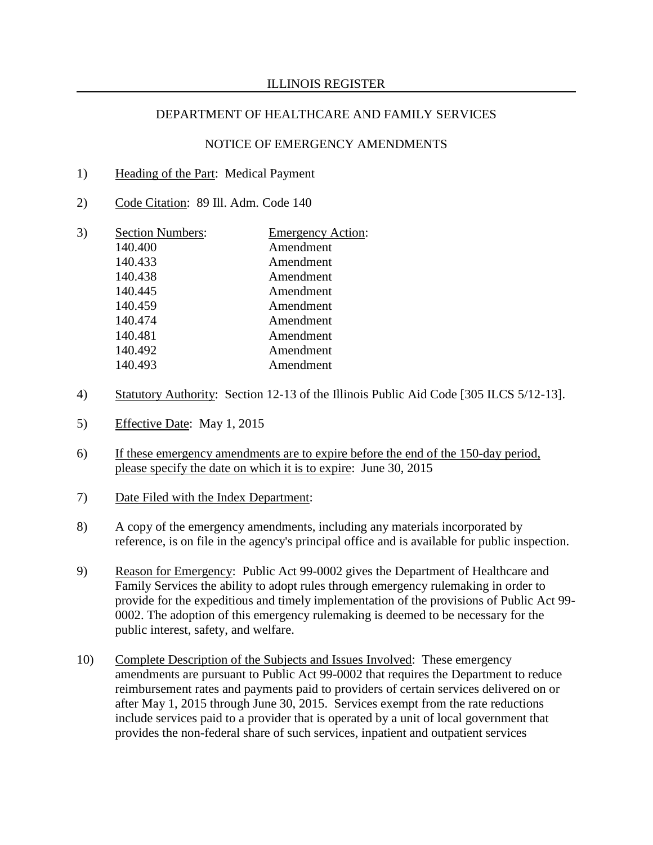- 1) Heading of the Part: Medical Payment
- 2) Code Citation: 89 Ill. Adm. Code 140
- 3) Section Numbers: Emergency Action: 140.400 Amendment 140.433 Amendment 140.438 Amendment 140.445 Amendment 140.459 Amendment 140.474 Amendment 140.481 Amendment 140.492 Amendment 140.493 Amendment
- 4) Statutory Authority: Section 12-13 of the Illinois Public Aid Code [305 ILCS 5/12-13].
- 5) Effective Date: May 1, 2015
- 6) If these emergency amendments are to expire before the end of the 150-day period, please specify the date on which it is to expire: June 30, 2015
- 7) Date Filed with the Index Department:
- 8) A copy of the emergency amendments, including any materials incorporated by reference, is on file in the agency's principal office and is available for public inspection.
- 9) Reason for Emergency: Public Act 99-0002 gives the Department of Healthcare and Family Services the ability to adopt rules through emergency rulemaking in order to provide for the expeditious and timely implementation of the provisions of Public Act 99- 0002. The adoption of this emergency rulemaking is deemed to be necessary for the public interest, safety, and welfare.
- 10) Complete Description of the Subjects and Issues Involved: These emergency amendments are pursuant to Public Act 99-0002 that requires the Department to reduce reimbursement rates and payments paid to providers of certain services delivered on or after May 1, 2015 through June 30, 2015. Services exempt from the rate reductions include services paid to a provider that is operated by a unit of local government that provides the non-federal share of such services, inpatient and outpatient services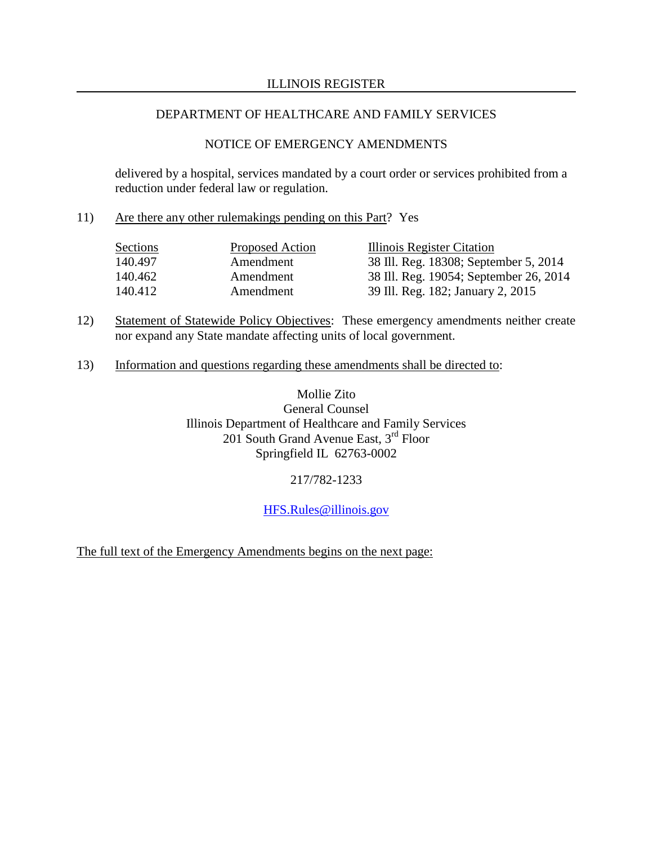# NOTICE OF EMERGENCY AMENDMENTS

delivered by a hospital, services mandated by a court order or services prohibited from a reduction under federal law or regulation.

11) Are there any other rulemakings pending on this Part? Yes

| Sections | Proposed Action | Illinois Register Citation             |
|----------|-----------------|----------------------------------------|
| 140.497  | Amendment       | 38 Ill. Reg. 18308; September 5, 2014  |
| 140.462  | Amendment       | 38 Ill. Reg. 19054; September 26, 2014 |
| 140.412  | Amendment       | 39 Ill. Reg. 182; January 2, 2015      |

- 12) Statement of Statewide Policy Objectives: These emergency amendments neither create nor expand any State mandate affecting units of local government.
- 13) Information and questions regarding these amendments shall be directed to:

Mollie Zito General Counsel Illinois Department of Healthcare and Family Services 201 South Grand Avenue East,  $3^{rd}$  Floor Springfield IL 62763-0002

217/782-1233

[HFS.Rules@illinois.gov](mailto:HFS.Rules@illinois.gov)

The full text of the Emergency Amendments begins on the next page: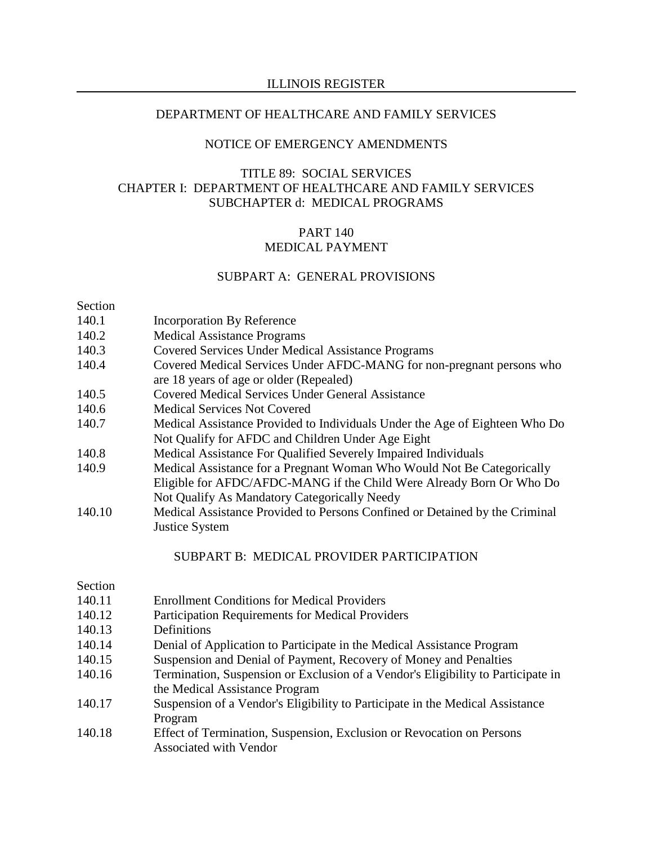#### ILLINOIS REGISTER

#### DEPARTMENT OF HEALTHCARE AND FAMILY SERVICES

### NOTICE OF EMERGENCY AMENDMENTS

# TITLE 89: SOCIAL SERVICES CHAPTER I: DEPARTMENT OF HEALTHCARE AND FAMILY SERVICES SUBCHAPTER d: MEDICAL PROGRAMS

### PART 140 MEDICAL PAYMENT

### SUBPART A: GENERAL PROVISIONS

## Section

- 140.1 Incorporation By Reference
- 140.2 Medical Assistance Programs
- 140.3 Covered Services Under Medical Assistance Programs
- 140.4 Covered Medical Services Under AFDC-MANG for non-pregnant persons who are 18 years of age or older (Repealed)
- 140.5 Covered Medical Services Under General Assistance
- 140.6 Medical Services Not Covered
- 140.7 Medical Assistance Provided to Individuals Under the Age of Eighteen Who Do Not Qualify for AFDC and Children Under Age Eight
- 140.8 Medical Assistance For Qualified Severely Impaired Individuals
- 140.9 Medical Assistance for a Pregnant Woman Who Would Not Be Categorically Eligible for AFDC/AFDC-MANG if the Child Were Already Born Or Who Do Not Qualify As Mandatory Categorically Needy
- 140.10 Medical Assistance Provided to Persons Confined or Detained by the Criminal Justice System

#### SUBPART B: MEDICAL PROVIDER PARTICIPATION

#### Section

- 140.11 Enrollment Conditions for Medical Providers
- 140.12 Participation Requirements for Medical Providers
- 140.13 Definitions
- 140.14 Denial of Application to Participate in the Medical Assistance Program
- 140.15 Suspension and Denial of Payment, Recovery of Money and Penalties
- 140.16 Termination, Suspension or Exclusion of a Vendor's Eligibility to Participate in the Medical Assistance Program
- 140.17 Suspension of a Vendor's Eligibility to Participate in the Medical Assistance Program
- 140.18 Effect of Termination, Suspension, Exclusion or Revocation on Persons Associated with Vendor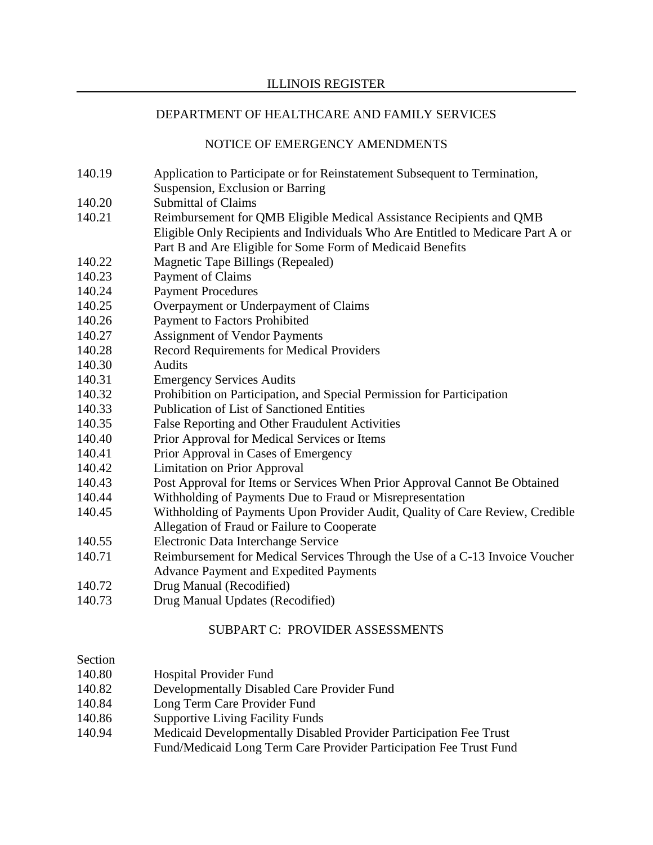## NOTICE OF EMERGENCY AMENDMENTS

- 140.19 Application to Participate or for Reinstatement Subsequent to Termination,
- Suspension, Exclusion or Barring
- 140.20 Submittal of Claims
- 140.21 Reimbursement for QMB Eligible Medical Assistance Recipients and QMB Eligible Only Recipients and Individuals Who Are Entitled to Medicare Part A or Part B and Are Eligible for Some Form of Medicaid Benefits
- 140.22 Magnetic Tape Billings (Repealed)
- 140.23 Payment of Claims
- 140.24 Payment Procedures
- 140.25 Overpayment or Underpayment of Claims
- 140.26 Payment to Factors Prohibited
- 140.27 Assignment of Vendor Payments
- 140.28 Record Requirements for Medical Providers
- 140.30 Audits
- 140.31 Emergency Services Audits
- 140.32 Prohibition on Participation, and Special Permission for Participation
- 140.33 Publication of List of Sanctioned Entities
- 140.35 False Reporting and Other Fraudulent Activities
- 140.40 Prior Approval for Medical Services or Items
- 140.41 Prior Approval in Cases of Emergency
- 140.42 Limitation on Prior Approval
- 140.43 Post Approval for Items or Services When Prior Approval Cannot Be Obtained
- 140.44 Withholding of Payments Due to Fraud or Misrepresentation
- 140.45 Withholding of Payments Upon Provider Audit, Quality of Care Review, Credible Allegation of Fraud or Failure to Cooperate
- 140.55 Electronic Data Interchange Service
- 140.71 Reimbursement for Medical Services Through the Use of a C-13 Invoice Voucher Advance Payment and Expedited Payments
- 140.72 Drug Manual (Recodified)
- 140.73 Drug Manual Updates (Recodified)

# SUBPART C: PROVIDER ASSESSMENTS

### Section

| 140.80 | <b>Hospital Provider Fund</b>                                      |
|--------|--------------------------------------------------------------------|
| 140.82 | Developmentally Disabled Care Provider Fund                        |
| 140.84 | Long Term Care Provider Fund                                       |
| 140.86 | <b>Supportive Living Facility Funds</b>                            |
| 140.94 | Medicaid Developmentally Disabled Provider Participation Fee Trust |

Fund/Medicaid Long Term Care Provider Participation Fee Trust Fund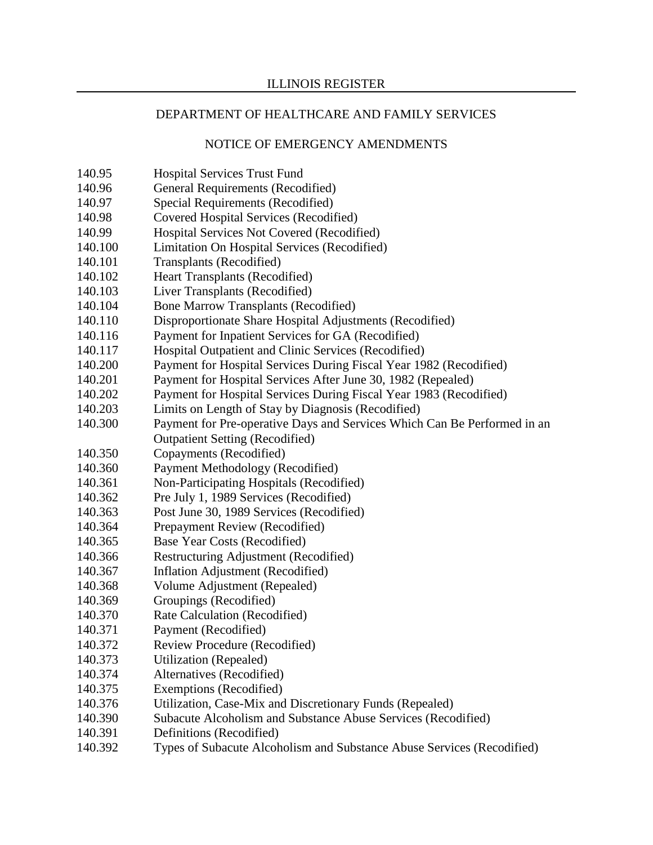- 140.95 Hospital Services Trust Fund
- 140.96 General Requirements (Recodified)
- 140.97 Special Requirements (Recodified)
- 140.98 Covered Hospital Services (Recodified)
- 140.99 Hospital Services Not Covered (Recodified)
- 140.100 Limitation On Hospital Services (Recodified)
- 140.101 Transplants (Recodified)
- 140.102 Heart Transplants (Recodified)
- 140.103 Liver Transplants (Recodified)
- 140.104 Bone Marrow Transplants (Recodified)
- 140.110 Disproportionate Share Hospital Adjustments (Recodified)
- 140.116 Payment for Inpatient Services for GA (Recodified)
- 140.117 Hospital Outpatient and Clinic Services (Recodified)
- 140.200 Payment for Hospital Services During Fiscal Year 1982 (Recodified)
- 140.201 Payment for Hospital Services After June 30, 1982 (Repealed)
- 140.202 Payment for Hospital Services During Fiscal Year 1983 (Recodified)
- 140.203 Limits on Length of Stay by Diagnosis (Recodified)
- 140.300 Payment for Pre-operative Days and Services Which Can Be Performed in an Outpatient Setting (Recodified)
- 140.350 Copayments (Recodified)
- 140.360 Payment Methodology (Recodified)
- 140.361 Non-Participating Hospitals (Recodified)
- 140.362 Pre July 1, 1989 Services (Recodified)
- 140.363 Post June 30, 1989 Services (Recodified)
- 140.364 Prepayment Review (Recodified)
- 140.365 Base Year Costs (Recodified)
- 140.366 Restructuring Adjustment (Recodified)
- 140.367 Inflation Adjustment (Recodified)
- 140.368 Volume Adjustment (Repealed)
- 140.369 Groupings (Recodified)
- 140.370 Rate Calculation (Recodified)
- 140.371 Payment (Recodified)
- 140.372 Review Procedure (Recodified)
- 140.373 Utilization (Repealed)
- 140.374 Alternatives (Recodified)
- 140.375 Exemptions (Recodified)
- 140.376 Utilization, Case-Mix and Discretionary Funds (Repealed)
- 140.390 Subacute Alcoholism and Substance Abuse Services (Recodified)
- 140.391 Definitions (Recodified)
- 140.392 Types of Subacute Alcoholism and Substance Abuse Services (Recodified)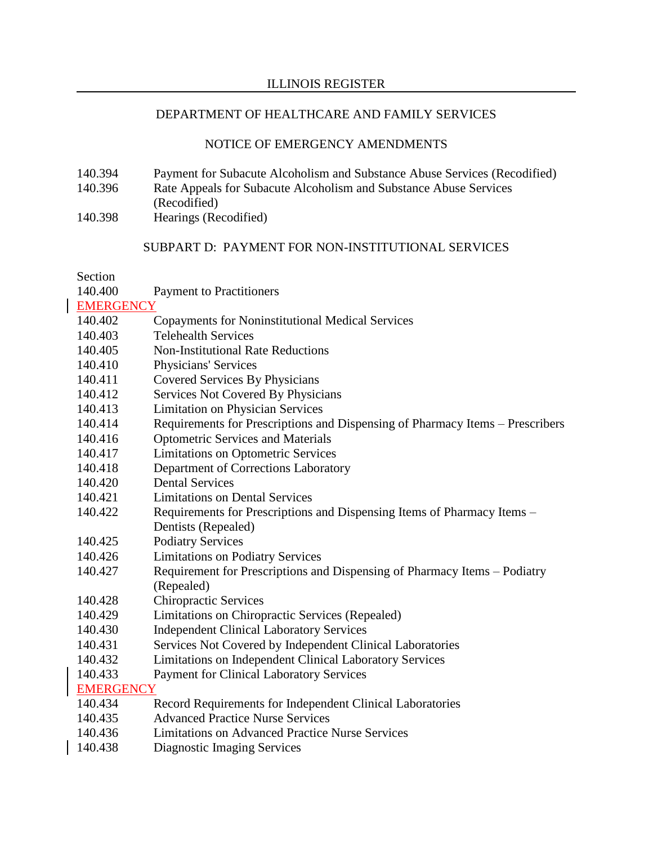### ILLINOIS REGISTER

# DEPARTMENT OF HEALTHCARE AND FAMILY SERVICES

# NOTICE OF EMERGENCY AMENDMENTS

- 140.394 Payment for Subacute Alcoholism and Substance Abuse Services (Recodified) 140.396 Rate Appeals for Subacute Alcoholism and Substance Abuse Services (Recodified)
- 140.398 Hearings (Recodified)

# SUBPART D: PAYMENT FOR NON-INSTITUTIONAL SERVICES

Section

| <b>dection</b>   |                                                                               |  |  |
|------------------|-------------------------------------------------------------------------------|--|--|
| 140.400          | <b>Payment to Practitioners</b>                                               |  |  |
| <b>EMERGENCY</b> |                                                                               |  |  |
| 140.402          | <b>Copayments for Noninstitutional Medical Services</b>                       |  |  |
| 140.403          | <b>Telehealth Services</b>                                                    |  |  |
| 140.405          | <b>Non-Institutional Rate Reductions</b>                                      |  |  |
| 140.410          | Physicians' Services                                                          |  |  |
| 140.411          | Covered Services By Physicians                                                |  |  |
| 140.412          | Services Not Covered By Physicians                                            |  |  |
| 140.413          | <b>Limitation on Physician Services</b>                                       |  |  |
| 140.414          | Requirements for Prescriptions and Dispensing of Pharmacy Items - Prescribers |  |  |
| 140.416          | <b>Optometric Services and Materials</b>                                      |  |  |
| 140.417          | <b>Limitations on Optometric Services</b>                                     |  |  |
| 140.418          | Department of Corrections Laboratory                                          |  |  |
| 140.420          | <b>Dental Services</b>                                                        |  |  |
| 140.421          | <b>Limitations on Dental Services</b>                                         |  |  |
| 140.422          | Requirements for Prescriptions and Dispensing Items of Pharmacy Items –       |  |  |
|                  | Dentists (Repealed)                                                           |  |  |
| 140.425          | <b>Podiatry Services</b>                                                      |  |  |
| 140.426          | <b>Limitations on Podiatry Services</b>                                       |  |  |
| 140.427          | Requirement for Prescriptions and Dispensing of Pharmacy Items - Podiatry     |  |  |
|                  | (Repealed)                                                                    |  |  |
| 140.428          | <b>Chiropractic Services</b>                                                  |  |  |
| 140.429          | Limitations on Chiropractic Services (Repealed)                               |  |  |
| 140.430          | <b>Independent Clinical Laboratory Services</b>                               |  |  |
| 140.431          | Services Not Covered by Independent Clinical Laboratories                     |  |  |
| 140.432          | Limitations on Independent Clinical Laboratory Services                       |  |  |
| 140.433          | <b>Payment for Clinical Laboratory Services</b>                               |  |  |
| <b>EMERGENCY</b> |                                                                               |  |  |
| 140.434          | Record Requirements for Independent Clinical Laboratories                     |  |  |
| 140.435          | <b>Advanced Practice Nurse Services</b>                                       |  |  |
| 140.436          | <b>Limitations on Advanced Practice Nurse Services</b>                        |  |  |
| 140.438          | Diagnostic Imaging Services                                                   |  |  |
|                  |                                                                               |  |  |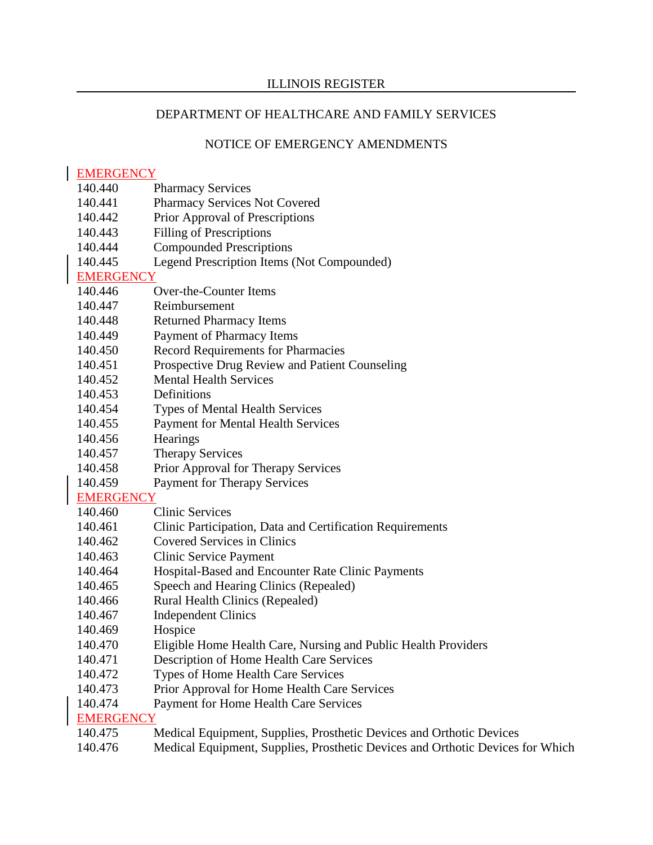# NOTICE OF EMERGENCY AMENDMENTS

## EMERGENCY

- 140.440 Pharmacy Services
- 140.441 Pharmacy Services Not Covered
- 140.442 Prior Approval of Prescriptions
- 140.443 Filling of Prescriptions
- 140.444 Compounded Prescriptions
- 140.445 Legend Prescription Items (Not Compounded)

# **EMERGENCY**

- 140.446 Over-the-Counter Items
- 140.447 Reimbursement
- 140.448 Returned Pharmacy Items
- 140.449 Payment of Pharmacy Items
- 140.450 Record Requirements for Pharmacies
- 140.451 Prospective Drug Review and Patient Counseling
- 140.452 Mental Health Services
- 140.453 Definitions
- 140.454 Types of Mental Health Services
- 140.455 Payment for Mental Health Services
- 140.456 Hearings
- 140.457 Therapy Services
- 140.458 Prior Approval for Therapy Services
- 140.459 Payment for Therapy Services

EMERGENCY<br>140.460 (

- **Clinic Services**
- 140.461 Clinic Participation, Data and Certification Requirements
- 140.462 Covered Services in Clinics
- 140.463 Clinic Service Payment
- 140.464 Hospital-Based and Encounter Rate Clinic Payments
- 140.465 Speech and Hearing Clinics (Repealed)
- 140.466 Rural Health Clinics (Repealed)
- 140.467 Independent Clinics
- 140.469 Hospice
- 140.470 Eligible Home Health Care, Nursing and Public Health Providers
- 140.471 Description of Home Health Care Services
- 140.472 Types of Home Health Care Services
- 140.473 Prior Approval for Home Health Care Services
- 140.474 Payment for Home Health Care Services

# **EMERGENCY**

- 140.475 Medical Equipment, Supplies, Prosthetic Devices and Orthotic Devices
- 140.476 Medical Equipment, Supplies, Prosthetic Devices and Orthotic Devices for Which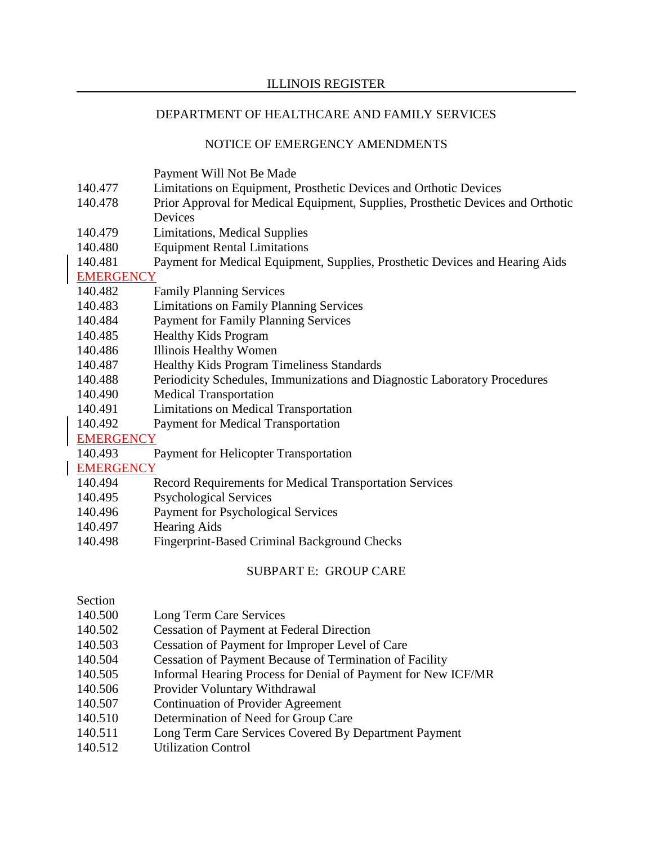## NOTICE OF EMERGENCY AMENDMENTS

Payment Will Not Be Made

- 140.477 Limitations on Equipment, Prosthetic Devices and Orthotic Devices
- 140.478 Prior Approval for Medical Equipment, Supplies, Prosthetic Devices and Orthotic Devices
- 140.479 Limitations, Medical Supplies
- 140.480 Equipment Rental Limitations
- 140.481 Payment for Medical Equipment, Supplies, Prosthetic Devices and Hearing Aids

**EMERGENCY** 

- 140.482 Family Planning Services
- 140.483 Limitations on Family Planning Services
- 140.484 Payment for Family Planning Services
- 140.485 Healthy Kids Program
- 140.486 Illinois Healthy Women
- 140.487 Healthy Kids Program Timeliness Standards
- 140.488 Periodicity Schedules, Immunizations and Diagnostic Laboratory Procedures
- 140.490 Medical Transportation
- 140.491 Limitations on Medical Transportation
- 140.492 Payment for Medical Transportation

**EMERGENCY** 

140.493 Payment for Helicopter Transportation

**EMERGENCY** 

- 140.494 Record Requirements for Medical Transportation Services
- 140.495 Psychological Services
- 140.496 Payment for Psychological Services
- 140.497 Hearing Aids
- 140.498 Fingerprint-Based Criminal Background Checks

## SUBPART E: GROUP CARE

Section

- 140.500 Long Term Care Services
- 140.502 Cessation of Payment at Federal Direction
- 140.503 Cessation of Payment for Improper Level of Care
- 140.504 Cessation of Payment Because of Termination of Facility
- 140.505 Informal Hearing Process for Denial of Payment for New ICF/MR
- 140.506 Provider Voluntary Withdrawal
- 140.507 Continuation of Provider Agreement
- 140.510 Determination of Need for Group Care
- 140.511 Long Term Care Services Covered By Department Payment
- 140.512 Utilization Control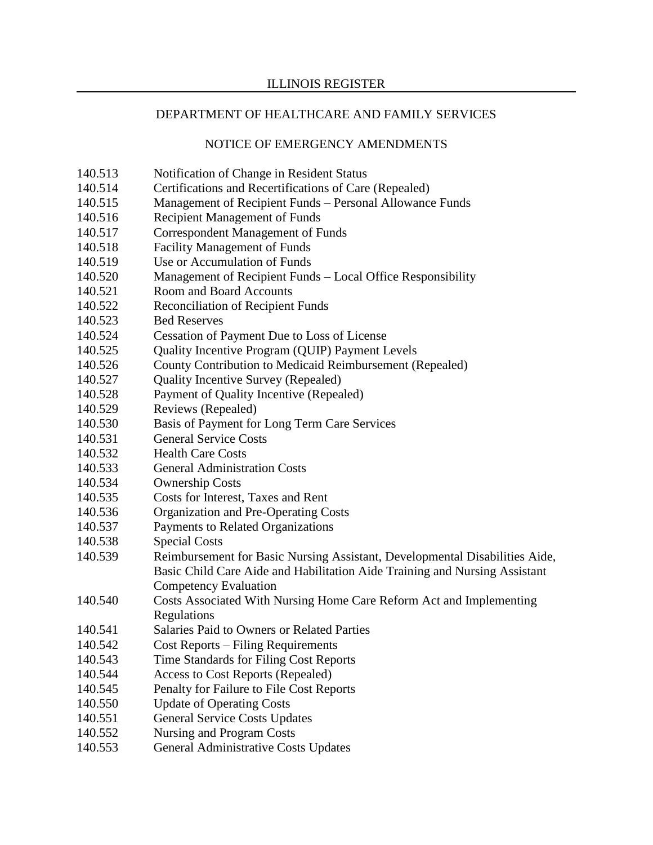- 140.513 Notification of Change in Resident Status
- 140.514 Certifications and Recertifications of Care (Repealed)
- 140.515 Management of Recipient Funds Personal Allowance Funds
- 140.516 Recipient Management of Funds
- 140.517 Correspondent Management of Funds
- 140.518 Facility Management of Funds
- 140.519 Use or Accumulation of Funds
- 140.520 Management of Recipient Funds Local Office Responsibility
- 140.521 Room and Board Accounts
- 140.522 Reconciliation of Recipient Funds
- 140.523 Bed Reserves
- 140.524 Cessation of Payment Due to Loss of License
- 140.525 Quality Incentive Program (QUIP) Payment Levels
- 140.526 County Contribution to Medicaid Reimbursement (Repealed)
- 140.527 Quality Incentive Survey (Repealed)
- 140.528 Payment of Quality Incentive (Repealed)
- 140.529 Reviews (Repealed)
- 140.530 Basis of Payment for Long Term Care Services
- 140.531 General Service Costs
- 140.532 Health Care Costs
- 140.533 General Administration Costs
- 140.534 Ownership Costs
- 140.535 Costs for Interest, Taxes and Rent
- 140.536 Organization and Pre-Operating Costs
- 140.537 Payments to Related Organizations
- 140.538 Special Costs
- 140.539 Reimbursement for Basic Nursing Assistant, Developmental Disabilities Aide, Basic Child Care Aide and Habilitation Aide Training and Nursing Assistant Competency Evaluation
- 140.540 Costs Associated With Nursing Home Care Reform Act and Implementing Regulations
- 140.541 Salaries Paid to Owners or Related Parties
- 140.542 Cost Reports Filing Requirements
- 140.543 Time Standards for Filing Cost Reports
- 140.544 Access to Cost Reports (Repealed)
- 140.545 Penalty for Failure to File Cost Reports
- 140.550 Update of Operating Costs
- 140.551 General Service Costs Updates
- 140.552 Nursing and Program Costs
- 140.553 General Administrative Costs Updates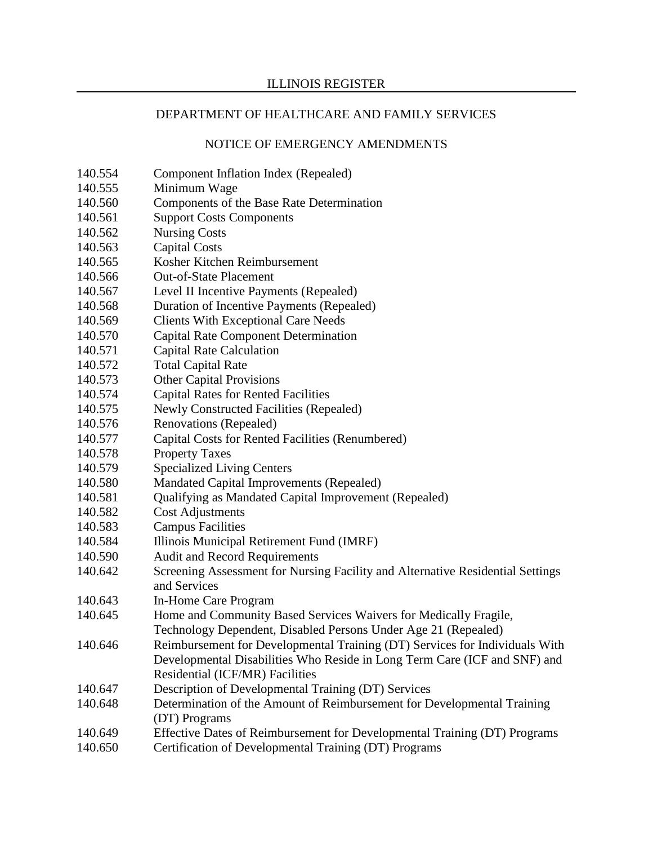- 140.554 Component Inflation Index (Repealed)
- 140.555 Minimum Wage
- 140.560 Components of the Base Rate Determination
- 140.561 Support Costs Components
- 140.562 Nursing Costs
- 140.563 Capital Costs
- 140.565 Kosher Kitchen Reimbursement
- 140.566 Out-of-State Placement
- 140.567 Level II Incentive Payments (Repealed)
- 140.568 Duration of Incentive Payments (Repealed)
- 140.569 Clients With Exceptional Care Needs
- 140.570 Capital Rate Component Determination
- 140.571 Capital Rate Calculation
- 140.572 Total Capital Rate
- 140.573 Other Capital Provisions
- 140.574 Capital Rates for Rented Facilities
- 140.575 Newly Constructed Facilities (Repealed)
- 140.576 Renovations (Repealed)
- 140.577 Capital Costs for Rented Facilities (Renumbered)
- 140.578 Property Taxes
- 140.579 Specialized Living Centers
- 140.580 Mandated Capital Improvements (Repealed)
- 140.581 Qualifying as Mandated Capital Improvement (Repealed)
- 140.582 Cost Adjustments
- 140.583 Campus Facilities
- 140.584 Illinois Municipal Retirement Fund (IMRF)
- 140.590 Audit and Record Requirements
- 140.642 Screening Assessment for Nursing Facility and Alternative Residential Settings and Services
- 140.643 In-Home Care Program
- 140.645 Home and Community Based Services Waivers for Medically Fragile, Technology Dependent, Disabled Persons Under Age 21 (Repealed)
- 140.646 Reimbursement for Developmental Training (DT) Services for Individuals With Developmental Disabilities Who Reside in Long Term Care (ICF and SNF) and Residential (ICF/MR) Facilities
- 140.647 Description of Developmental Training (DT) Services
- 140.648 Determination of the Amount of Reimbursement for Developmental Training (DT) Programs
- 140.649 Effective Dates of Reimbursement for Developmental Training (DT) Programs
- 140.650 Certification of Developmental Training (DT) Programs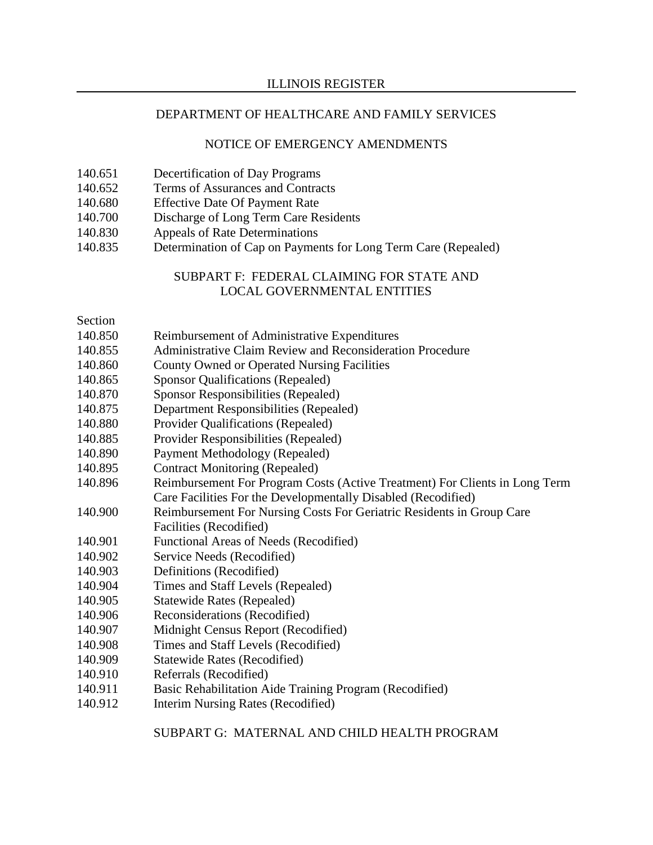#### NOTICE OF EMERGENCY AMENDMENTS

- 140.651 Decertification of Day Programs
- 140.652 Terms of Assurances and Contracts
- 140.680 Effective Date Of Payment Rate
- 140.700 Discharge of Long Term Care Residents
- 140.830 Appeals of Rate Determinations
- 140.835 Determination of Cap on Payments for Long Term Care (Repealed)

### SUBPART F: FEDERAL CLAIMING FOR STATE AND LOCAL GOVERNMENTAL ENTITIES

#### Section

- 140.850 Reimbursement of Administrative Expenditures
- 140.855 Administrative Claim Review and Reconsideration Procedure
- 140.860 County Owned or Operated Nursing Facilities
- 140.865 Sponsor Qualifications (Repealed)
- 140.870 Sponsor Responsibilities (Repealed)
- 140.875 Department Responsibilities (Repealed)
- 140.880 Provider Qualifications (Repealed)
- 140.885 Provider Responsibilities (Repealed)
- 140.890 Payment Methodology (Repealed)
- 140.895 Contract Monitoring (Repealed)
- 140.896 Reimbursement For Program Costs (Active Treatment) For Clients in Long Term Care Facilities For the Developmentally Disabled (Recodified)
- 140.900 Reimbursement For Nursing Costs For Geriatric Residents in Group Care Facilities (Recodified)
- 140.901 Functional Areas of Needs (Recodified)
- 140.902 Service Needs (Recodified)
- 140.903 Definitions (Recodified)
- 140.904 Times and Staff Levels (Repealed)
- 140.905 Statewide Rates (Repealed)
- 140.906 Reconsiderations (Recodified)
- 140.907 Midnight Census Report (Recodified)
- 140.908 Times and Staff Levels (Recodified)
- 140.909 Statewide Rates (Recodified)
- 140.910 Referrals (Recodified)
- 140.911 Basic Rehabilitation Aide Training Program (Recodified)
- 140.912 Interim Nursing Rates (Recodified)

SUBPART G: MATERNAL AND CHILD HEALTH PROGRAM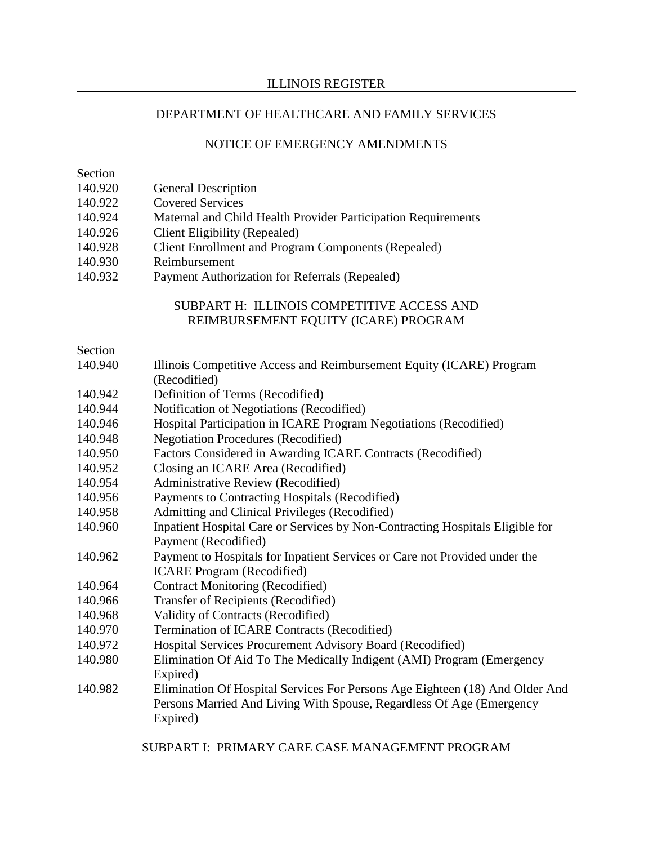### ILLINOIS REGISTER

## DEPARTMENT OF HEALTHCARE AND FAMILY SERVICES

### NOTICE OF EMERGENCY AMENDMENTS

Section

- 140.920 General Description
- 140.922 Covered Services
- 140.924 Maternal and Child Health Provider Participation Requirements
- 140.926 Client Eligibility (Repealed)
- 140.928 Client Enrollment and Program Components (Repealed)
- 140.930 Reimbursement
- 140.932 Payment Authorization for Referrals (Repealed)

# SUBPART H: ILLINOIS COMPETITIVE ACCESS AND REIMBURSEMENT EQUITY (ICARE) PROGRAM

### Section

- 140.940 Illinois Competitive Access and Reimbursement Equity (ICARE) Program (Recodified)
- 140.942 Definition of Terms (Recodified)
- 140.944 Notification of Negotiations (Recodified)
- 140.946 Hospital Participation in ICARE Program Negotiations (Recodified)
- 140.948 Negotiation Procedures (Recodified)
- 140.950 Factors Considered in Awarding ICARE Contracts (Recodified)
- 140.952 Closing an ICARE Area (Recodified)
- 140.954 Administrative Review (Recodified)
- 140.956 Payments to Contracting Hospitals (Recodified)
- 140.958 Admitting and Clinical Privileges (Recodified)
- 140.960 Inpatient Hospital Care or Services by Non-Contracting Hospitals Eligible for Payment (Recodified)
- 140.962 Payment to Hospitals for Inpatient Services or Care not Provided under the ICARE Program (Recodified)
- 140.964 Contract Monitoring (Recodified)
- 140.966 Transfer of Recipients (Recodified)
- 140.968 Validity of Contracts (Recodified)
- 140.970 Termination of ICARE Contracts (Recodified)
- 140.972 Hospital Services Procurement Advisory Board (Recodified)
- 140.980 Elimination Of Aid To The Medically Indigent (AMI) Program (Emergency Expired)
- 140.982 Elimination Of Hospital Services For Persons Age Eighteen (18) And Older And Persons Married And Living With Spouse, Regardless Of Age (Emergency Expired)

SUBPART I: PRIMARY CARE CASE MANAGEMENT PROGRAM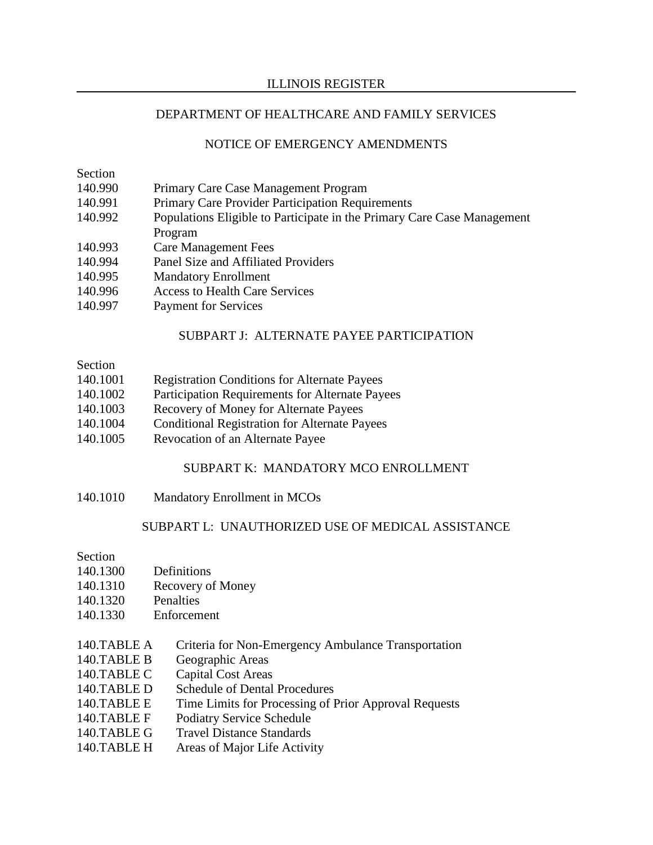### ILLINOIS REGISTER

### DEPARTMENT OF HEALTHCARE AND FAMILY SERVICES

### NOTICE OF EMERGENCY AMENDMENTS

# Section

- 140.990 Primary Care Case Management Program
- 140.991 Primary Care Provider Participation Requirements
- 140.992 Populations Eligible to Participate in the Primary Care Case Management Program
- 140.993 Care Management Fees
- 140.994 Panel Size and Affiliated Providers
- 140.995 Mandatory Enrollment
- 140.996 Access to Health Care Services
- 140.997 Payment for Services

## SUBPART J: ALTERNATE PAYEE PARTICIPATION

## Section

- 140.1001 Registration Conditions for Alternate Payees
- 140.1002 Participation Requirements for Alternate Payees
- 140.1003 Recovery of Money for Alternate Payees
- 140.1004 Conditional Registration for Alternate Payees
- 140.1005 Revocation of an Alternate Payee

## SUBPART K: MANDATORY MCO ENROLLMENT

140.1010 Mandatory Enrollment in MCOs

## SUBPART L: UNAUTHORIZED USE OF MEDICAL ASSISTANCE

#### Section

- 140.1300 Definitions
- 140.1310 Recovery of Money
- 140.1320 Penalties
- 140.1330 Enforcement
- 140.TABLE A Criteria for Non-Emergency Ambulance Transportation
- 140.TABLE B Geographic Areas
- 140.TABLE C Capital Cost Areas
- 140.TABLE D Schedule of Dental Procedures
- 140.TABLE E Time Limits for Processing of Prior Approval Requests
- 140.TABLE F Podiatry Service Schedule
- 140.TABLE G Travel Distance Standards
- 140.TABLE H Areas of Major Life Activity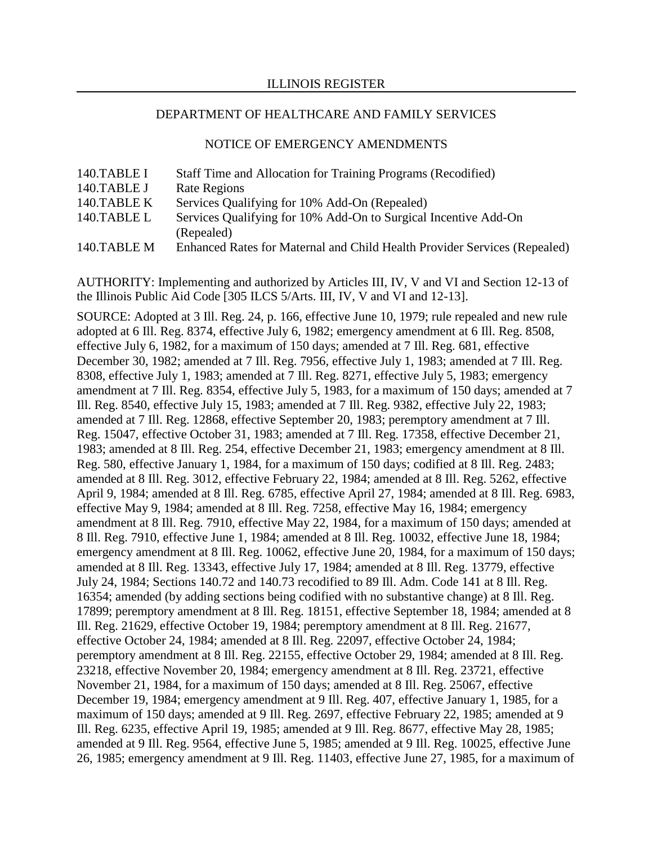#### NOTICE OF EMERGENCY AMENDMENTS

| 140.TABLE I | Staff Time and Allocation for Training Programs (Recodified)                  |
|-------------|-------------------------------------------------------------------------------|
| 140.TABLE J | <b>Rate Regions</b>                                                           |
| 140.TABLE K | Services Qualifying for 10% Add-On (Repealed)                                 |
| 140.TABLE L | Services Qualifying for 10% Add-On to Surgical Incentive Add-On<br>(Repealed) |
| 140.TABLE M | Enhanced Rates for Maternal and Child Health Provider Services (Repealed)     |

AUTHORITY: Implementing and authorized by Articles III, IV, V and VI and Section 12-13 of the Illinois Public Aid Code [305 ILCS 5/Arts. III, IV, V and VI and 12-13].

SOURCE: Adopted at 3 Ill. Reg. 24, p. 166, effective June 10, 1979; rule repealed and new rule adopted at 6 Ill. Reg. 8374, effective July 6, 1982; emergency amendment at 6 Ill. Reg. 8508, effective July 6, 1982, for a maximum of 150 days; amended at 7 Ill. Reg. 681, effective December 30, 1982; amended at 7 Ill. Reg. 7956, effective July 1, 1983; amended at 7 Ill. Reg. 8308, effective July 1, 1983; amended at 7 Ill. Reg. 8271, effective July 5, 1983; emergency amendment at 7 Ill. Reg. 8354, effective July 5, 1983, for a maximum of 150 days; amended at 7 Ill. Reg. 8540, effective July 15, 1983; amended at 7 Ill. Reg. 9382, effective July 22, 1983; amended at 7 Ill. Reg. 12868, effective September 20, 1983; peremptory amendment at 7 Ill. Reg. 15047, effective October 31, 1983; amended at 7 Ill. Reg. 17358, effective December 21, 1983; amended at 8 Ill. Reg. 254, effective December 21, 1983; emergency amendment at 8 Ill. Reg. 580, effective January 1, 1984, for a maximum of 150 days; codified at 8 Ill. Reg. 2483; amended at 8 Ill. Reg. 3012, effective February 22, 1984; amended at 8 Ill. Reg. 5262, effective April 9, 1984; amended at 8 Ill. Reg. 6785, effective April 27, 1984; amended at 8 Ill. Reg. 6983, effective May 9, 1984; amended at 8 Ill. Reg. 7258, effective May 16, 1984; emergency amendment at 8 Ill. Reg. 7910, effective May 22, 1984, for a maximum of 150 days; amended at 8 Ill. Reg. 7910, effective June 1, 1984; amended at 8 Ill. Reg. 10032, effective June 18, 1984; emergency amendment at 8 Ill. Reg. 10062, effective June 20, 1984, for a maximum of 150 days; amended at 8 Ill. Reg. 13343, effective July 17, 1984; amended at 8 Ill. Reg. 13779, effective July 24, 1984; Sections 140.72 and 140.73 recodified to 89 Ill. Adm. Code 141 at 8 Ill. Reg. 16354; amended (by adding sections being codified with no substantive change) at 8 Ill. Reg. 17899; peremptory amendment at 8 Ill. Reg. 18151, effective September 18, 1984; amended at 8 Ill. Reg. 21629, effective October 19, 1984; peremptory amendment at 8 Ill. Reg. 21677, effective October 24, 1984; amended at 8 Ill. Reg. 22097, effective October 24, 1984; peremptory amendment at 8 Ill. Reg. 22155, effective October 29, 1984; amended at 8 Ill. Reg. 23218, effective November 20, 1984; emergency amendment at 8 Ill. Reg. 23721, effective November 21, 1984, for a maximum of 150 days; amended at 8 Ill. Reg. 25067, effective December 19, 1984; emergency amendment at 9 Ill. Reg. 407, effective January 1, 1985, for a maximum of 150 days; amended at 9 Ill. Reg. 2697, effective February 22, 1985; amended at 9 Ill. Reg. 6235, effective April 19, 1985; amended at 9 Ill. Reg. 8677, effective May 28, 1985; amended at 9 Ill. Reg. 9564, effective June 5, 1985; amended at 9 Ill. Reg. 10025, effective June 26, 1985; emergency amendment at 9 Ill. Reg. 11403, effective June 27, 1985, for a maximum of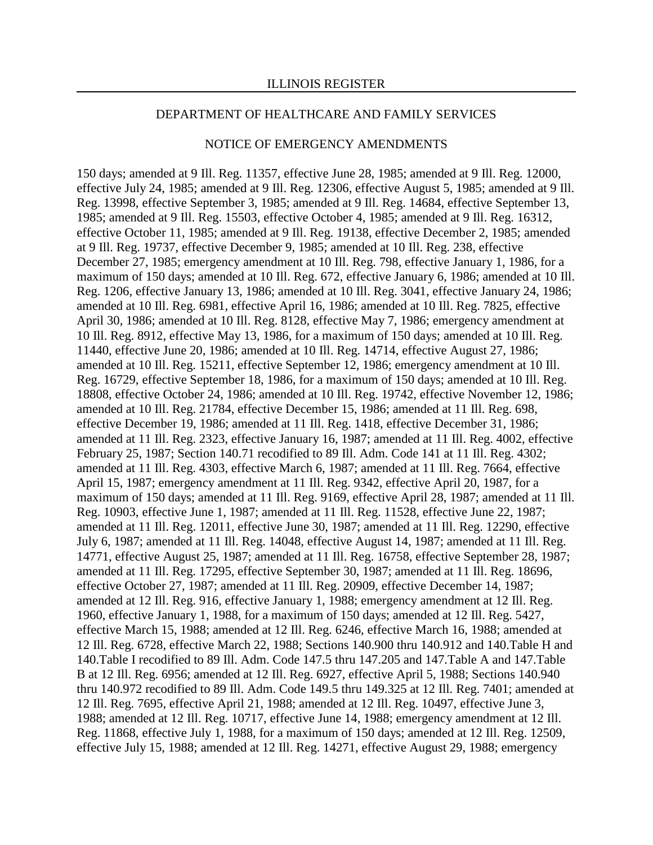#### NOTICE OF EMERGENCY AMENDMENTS

150 days; amended at 9 Ill. Reg. 11357, effective June 28, 1985; amended at 9 Ill. Reg. 12000, effective July 24, 1985; amended at 9 Ill. Reg. 12306, effective August 5, 1985; amended at 9 Ill. Reg. 13998, effective September 3, 1985; amended at 9 Ill. Reg. 14684, effective September 13, 1985; amended at 9 Ill. Reg. 15503, effective October 4, 1985; amended at 9 Ill. Reg. 16312, effective October 11, 1985; amended at 9 Ill. Reg. 19138, effective December 2, 1985; amended at 9 Ill. Reg. 19737, effective December 9, 1985; amended at 10 Ill. Reg. 238, effective December 27, 1985; emergency amendment at 10 Ill. Reg. 798, effective January 1, 1986, for a maximum of 150 days; amended at 10 Ill. Reg. 672, effective January 6, 1986; amended at 10 Ill. Reg. 1206, effective January 13, 1986; amended at 10 Ill. Reg. 3041, effective January 24, 1986; amended at 10 Ill. Reg. 6981, effective April 16, 1986; amended at 10 Ill. Reg. 7825, effective April 30, 1986; amended at 10 Ill. Reg. 8128, effective May 7, 1986; emergency amendment at 10 Ill. Reg. 8912, effective May 13, 1986, for a maximum of 150 days; amended at 10 Ill. Reg. 11440, effective June 20, 1986; amended at 10 Ill. Reg. 14714, effective August 27, 1986; amended at 10 Ill. Reg. 15211, effective September 12, 1986; emergency amendment at 10 Ill. Reg. 16729, effective September 18, 1986, for a maximum of 150 days; amended at 10 Ill. Reg. 18808, effective October 24, 1986; amended at 10 Ill. Reg. 19742, effective November 12, 1986; amended at 10 Ill. Reg. 21784, effective December 15, 1986; amended at 11 Ill. Reg. 698, effective December 19, 1986; amended at 11 Ill. Reg. 1418, effective December 31, 1986; amended at 11 Ill. Reg. 2323, effective January 16, 1987; amended at 11 Ill. Reg. 4002, effective February 25, 1987; Section 140.71 recodified to 89 Ill. Adm. Code 141 at 11 Ill. Reg. 4302; amended at 11 Ill. Reg. 4303, effective March 6, 1987; amended at 11 Ill. Reg. 7664, effective April 15, 1987; emergency amendment at 11 Ill. Reg. 9342, effective April 20, 1987, for a maximum of 150 days; amended at 11 Ill. Reg. 9169, effective April 28, 1987; amended at 11 Ill. Reg. 10903, effective June 1, 1987; amended at 11 Ill. Reg. 11528, effective June 22, 1987; amended at 11 Ill. Reg. 12011, effective June 30, 1987; amended at 11 Ill. Reg. 12290, effective July 6, 1987; amended at 11 Ill. Reg. 14048, effective August 14, 1987; amended at 11 Ill. Reg. 14771, effective August 25, 1987; amended at 11 Ill. Reg. 16758, effective September 28, 1987; amended at 11 Ill. Reg. 17295, effective September 30, 1987; amended at 11 Ill. Reg. 18696, effective October 27, 1987; amended at 11 Ill. Reg. 20909, effective December 14, 1987; amended at 12 Ill. Reg. 916, effective January 1, 1988; emergency amendment at 12 Ill. Reg. 1960, effective January 1, 1988, for a maximum of 150 days; amended at 12 Ill. Reg. 5427, effective March 15, 1988; amended at 12 Ill. Reg. 6246, effective March 16, 1988; amended at 12 Ill. Reg. 6728, effective March 22, 1988; Sections 140.900 thru 140.912 and 140.Table H and 140.Table I recodified to 89 Ill. Adm. Code 147.5 thru 147.205 and 147.Table A and 147.Table B at 12 Ill. Reg. 6956; amended at 12 Ill. Reg. 6927, effective April 5, 1988; Sections 140.940 thru 140.972 recodified to 89 Ill. Adm. Code 149.5 thru 149.325 at 12 Ill. Reg. 7401; amended at 12 Ill. Reg. 7695, effective April 21, 1988; amended at 12 Ill. Reg. 10497, effective June 3, 1988; amended at 12 Ill. Reg. 10717, effective June 14, 1988; emergency amendment at 12 Ill. Reg. 11868, effective July 1, 1988, for a maximum of 150 days; amended at 12 Ill. Reg. 12509, effective July 15, 1988; amended at 12 Ill. Reg. 14271, effective August 29, 1988; emergency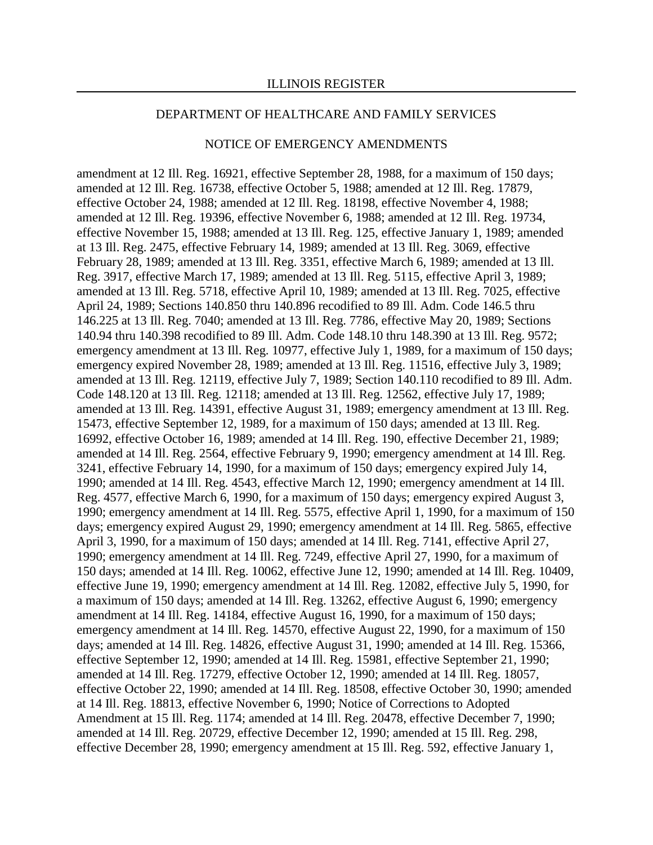#### NOTICE OF EMERGENCY AMENDMENTS

amendment at 12 Ill. Reg. 16921, effective September 28, 1988, for a maximum of 150 days; amended at 12 Ill. Reg. 16738, effective October 5, 1988; amended at 12 Ill. Reg. 17879, effective October 24, 1988; amended at 12 Ill. Reg. 18198, effective November 4, 1988; amended at 12 Ill. Reg. 19396, effective November 6, 1988; amended at 12 Ill. Reg. 19734, effective November 15, 1988; amended at 13 Ill. Reg. 125, effective January 1, 1989; amended at 13 Ill. Reg. 2475, effective February 14, 1989; amended at 13 Ill. Reg. 3069, effective February 28, 1989; amended at 13 Ill. Reg. 3351, effective March 6, 1989; amended at 13 Ill. Reg. 3917, effective March 17, 1989; amended at 13 Ill. Reg. 5115, effective April 3, 1989; amended at 13 Ill. Reg. 5718, effective April 10, 1989; amended at 13 Ill. Reg. 7025, effective April 24, 1989; Sections 140.850 thru 140.896 recodified to 89 Ill. Adm. Code 146.5 thru 146.225 at 13 Ill. Reg. 7040; amended at 13 Ill. Reg. 7786, effective May 20, 1989; Sections 140.94 thru 140.398 recodified to 89 Ill. Adm. Code 148.10 thru 148.390 at 13 Ill. Reg. 9572; emergency amendment at 13 Ill. Reg. 10977, effective July 1, 1989, for a maximum of 150 days; emergency expired November 28, 1989; amended at 13 Ill. Reg. 11516, effective July 3, 1989; amended at 13 Ill. Reg. 12119, effective July 7, 1989; Section 140.110 recodified to 89 Ill. Adm. Code 148.120 at 13 Ill. Reg. 12118; amended at 13 Ill. Reg. 12562, effective July 17, 1989; amended at 13 Ill. Reg. 14391, effective August 31, 1989; emergency amendment at 13 Ill. Reg. 15473, effective September 12, 1989, for a maximum of 150 days; amended at 13 Ill. Reg. 16992, effective October 16, 1989; amended at 14 Ill. Reg. 190, effective December 21, 1989; amended at 14 Ill. Reg. 2564, effective February 9, 1990; emergency amendment at 14 Ill. Reg. 3241, effective February 14, 1990, for a maximum of 150 days; emergency expired July 14, 1990; amended at 14 Ill. Reg. 4543, effective March 12, 1990; emergency amendment at 14 Ill. Reg. 4577, effective March 6, 1990, for a maximum of 150 days; emergency expired August 3, 1990; emergency amendment at 14 Ill. Reg. 5575, effective April 1, 1990, for a maximum of 150 days; emergency expired August 29, 1990; emergency amendment at 14 Ill. Reg. 5865, effective April 3, 1990, for a maximum of 150 days; amended at 14 Ill. Reg. 7141, effective April 27, 1990; emergency amendment at 14 Ill. Reg. 7249, effective April 27, 1990, for a maximum of 150 days; amended at 14 Ill. Reg. 10062, effective June 12, 1990; amended at 14 Ill. Reg. 10409, effective June 19, 1990; emergency amendment at 14 Ill. Reg. 12082, effective July 5, 1990, for a maximum of 150 days; amended at 14 Ill. Reg. 13262, effective August 6, 1990; emergency amendment at 14 Ill. Reg. 14184, effective August 16, 1990, for a maximum of 150 days; emergency amendment at 14 Ill. Reg. 14570, effective August 22, 1990, for a maximum of 150 days; amended at 14 Ill. Reg. 14826, effective August 31, 1990; amended at 14 Ill. Reg. 15366, effective September 12, 1990; amended at 14 Ill. Reg. 15981, effective September 21, 1990; amended at 14 Ill. Reg. 17279, effective October 12, 1990; amended at 14 Ill. Reg. 18057, effective October 22, 1990; amended at 14 Ill. Reg. 18508, effective October 30, 1990; amended at 14 Ill. Reg. 18813, effective November 6, 1990; Notice of Corrections to Adopted Amendment at 15 Ill. Reg. 1174; amended at 14 Ill. Reg. 20478, effective December 7, 1990; amended at 14 Ill. Reg. 20729, effective December 12, 1990; amended at 15 Ill. Reg. 298, effective December 28, 1990; emergency amendment at 15 Ill. Reg. 592, effective January 1,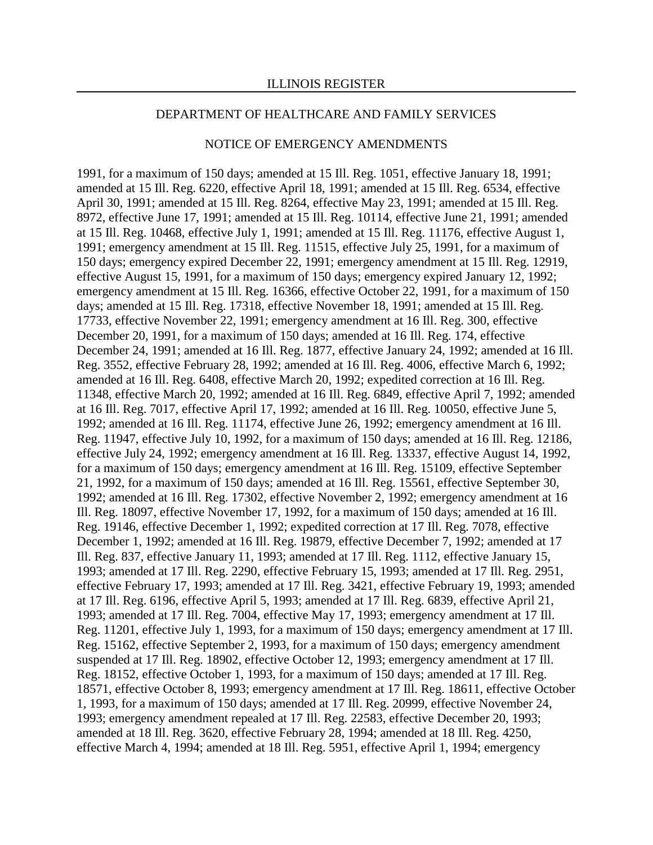#### NOTICE OF EMERGENCY AMENDMENTS

1991, for a maximum of 150 days; amended at 15 Ill. Reg. 1051, effective January 18, 1991; amended at 15 Ill. Reg. 6220, effective April 18, 1991; amended at 15 Ill. Reg. 6534, effective April 30, 1991; amended at 15 Ill. Reg. 8264, effective May 23, 1991; amended at 15 Ill. Reg. 8972, effective June 17, 1991; amended at 15 Ill. Reg. 10114, effective June 21, 1991; amended at 15 Ill. Reg. 10468, effective July 1, 1991; amended at 15 Ill. Reg. 11176, effective August 1, 1991; emergency amendment at 15 Ill. Reg. 11515, effective July 25, 1991, for a maximum of 150 days; emergency expired December 22, 1991; emergency amendment at 15 Ill. Reg. 12919, effective August 15, 1991, for a maximum of 150 days; emergency expired January 12, 1992; emergency amendment at 15 Ill. Reg. 16366, effective October 22, 1991, for a maximum of 150 days; amended at 15 Ill. Reg. 17318, effective November 18, 1991; amended at 15 Ill. Reg. 17733, effective November 22, 1991; emergency amendment at 16 Ill. Reg. 300, effective December 20, 1991, for a maximum of 150 days; amended at 16 Ill. Reg. 174, effective December 24, 1991; amended at 16 Ill. Reg. 1877, effective January 24, 1992; amended at 16 Ill. Reg. 3552, effective February 28, 1992; amended at 16 Ill. Reg. 4006, effective March 6, 1992; amended at 16 Ill. Reg. 6408, effective March 20, 1992; expedited correction at 16 Ill. Reg. 11348, effective March 20, 1992; amended at 16 Ill. Reg. 6849, effective April 7, 1992; amended at 16 Ill. Reg. 7017, effective April 17, 1992; amended at 16 Ill. Reg. 10050, effective June 5, 1992; amended at 16 Ill. Reg. 11174, effective June 26, 1992; emergency amendment at 16 Ill. Reg. 11947, effective July 10, 1992, for a maximum of 150 days; amended at 16 Ill. Reg. 12186, effective July 24, 1992; emergency amendment at 16 Ill. Reg. 13337, effective August 14, 1992, for a maximum of 150 days; emergency amendment at 16 Ill. Reg. 15109, effective September 21, 1992, for a maximum of 150 days; amended at 16 Ill. Reg. 15561, effective September 30, 1992; amended at 16 Ill. Reg. 17302, effective November 2, 1992; emergency amendment at 16 Ill. Reg. 18097, effective November 17, 1992, for a maximum of 150 days; amended at 16 Ill. Reg. 19146, effective December 1, 1992; expedited correction at 17 Ill. Reg. 7078, effective December 1, 1992; amended at 16 Ill. Reg. 19879, effective December 7, 1992; amended at 17 Ill. Reg. 837, effective January 11, 1993; amended at 17 Ill. Reg. 1112, effective January 15, 1993; amended at 17 Ill. Reg. 2290, effective February 15, 1993; amended at 17 Ill. Reg. 2951, effective February 17, 1993; amended at 17 Ill. Reg. 3421, effective February 19, 1993; amended at 17 Ill. Reg. 6196, effective April 5, 1993; amended at 17 Ill. Reg. 6839, effective April 21, 1993; amended at 17 Ill. Reg. 7004, effective May 17, 1993; emergency amendment at 17 Ill. Reg. 11201, effective July 1, 1993, for a maximum of 150 days; emergency amendment at 17 Ill. Reg. 15162, effective September 2, 1993, for a maximum of 150 days; emergency amendment suspended at 17 Ill. Reg. 18902, effective October 12, 1993; emergency amendment at 17 Ill. Reg. 18152, effective October 1, 1993, for a maximum of 150 days; amended at 17 Ill. Reg. 18571, effective October 8, 1993; emergency amendment at 17 Ill. Reg. 18611, effective October 1, 1993, for a maximum of 150 days; amended at 17 Ill. Reg. 20999, effective November 24, 1993; emergency amendment repealed at 17 Ill. Reg. 22583, effective December 20, 1993; amended at 18 Ill. Reg. 3620, effective February 28, 1994; amended at 18 Ill. Reg. 4250, effective March 4, 1994; amended at 18 Ill. Reg. 5951, effective April 1, 1994; emergency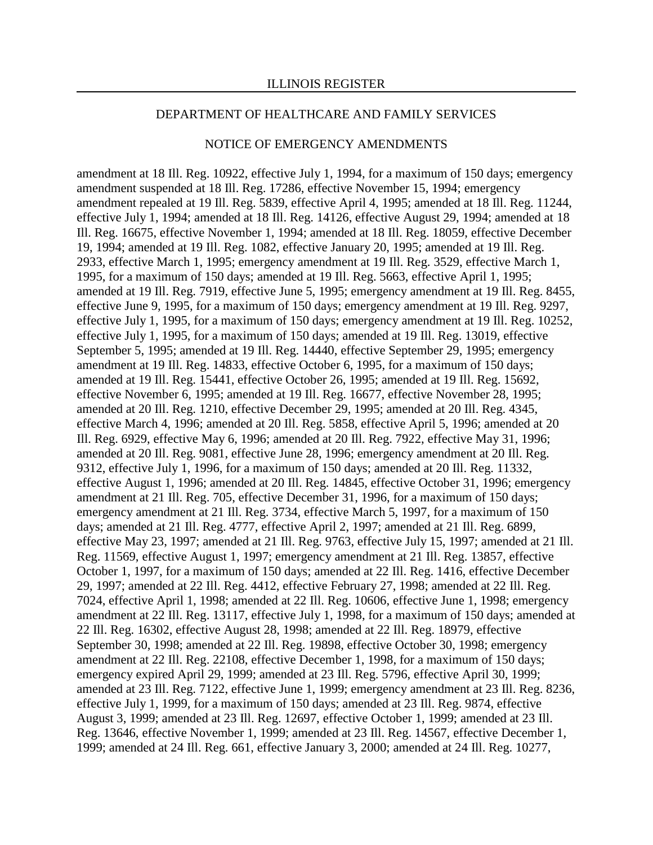#### NOTICE OF EMERGENCY AMENDMENTS

amendment at 18 Ill. Reg. 10922, effective July 1, 1994, for a maximum of 150 days; emergency amendment suspended at 18 Ill. Reg. 17286, effective November 15, 1994; emergency amendment repealed at 19 Ill. Reg. 5839, effective April 4, 1995; amended at 18 Ill. Reg. 11244, effective July 1, 1994; amended at 18 Ill. Reg. 14126, effective August 29, 1994; amended at 18 Ill. Reg. 16675, effective November 1, 1994; amended at 18 Ill. Reg. 18059, effective December 19, 1994; amended at 19 Ill. Reg. 1082, effective January 20, 1995; amended at 19 Ill. Reg. 2933, effective March 1, 1995; emergency amendment at 19 Ill. Reg. 3529, effective March 1, 1995, for a maximum of 150 days; amended at 19 Ill. Reg. 5663, effective April 1, 1995; amended at 19 Ill. Reg. 7919, effective June 5, 1995; emergency amendment at 19 Ill. Reg. 8455, effective June 9, 1995, for a maximum of 150 days; emergency amendment at 19 Ill. Reg. 9297, effective July 1, 1995, for a maximum of 150 days; emergency amendment at 19 Ill. Reg. 10252, effective July 1, 1995, for a maximum of 150 days; amended at 19 Ill. Reg. 13019, effective September 5, 1995; amended at 19 Ill. Reg. 14440, effective September 29, 1995; emergency amendment at 19 Ill. Reg. 14833, effective October 6, 1995, for a maximum of 150 days; amended at 19 Ill. Reg. 15441, effective October 26, 1995; amended at 19 Ill. Reg. 15692, effective November 6, 1995; amended at 19 Ill. Reg. 16677, effective November 28, 1995; amended at 20 Ill. Reg. 1210, effective December 29, 1995; amended at 20 Ill. Reg. 4345, effective March 4, 1996; amended at 20 Ill. Reg. 5858, effective April 5, 1996; amended at 20 Ill. Reg. 6929, effective May 6, 1996; amended at 20 Ill. Reg. 7922, effective May 31, 1996; amended at 20 Ill. Reg. 9081, effective June 28, 1996; emergency amendment at 20 Ill. Reg. 9312, effective July 1, 1996, for a maximum of 150 days; amended at 20 Ill. Reg. 11332, effective August 1, 1996; amended at 20 Ill. Reg. 14845, effective October 31, 1996; emergency amendment at 21 Ill. Reg. 705, effective December 31, 1996, for a maximum of 150 days; emergency amendment at 21 Ill. Reg. 3734, effective March 5, 1997, for a maximum of 150 days; amended at 21 Ill. Reg. 4777, effective April 2, 1997; amended at 21 Ill. Reg. 6899, effective May 23, 1997; amended at 21 Ill. Reg. 9763, effective July 15, 1997; amended at 21 Ill. Reg. 11569, effective August 1, 1997; emergency amendment at 21 Ill. Reg. 13857, effective October 1, 1997, for a maximum of 150 days; amended at 22 Ill. Reg. 1416, effective December 29, 1997; amended at 22 Ill. Reg. 4412, effective February 27, 1998; amended at 22 Ill. Reg. 7024, effective April 1, 1998; amended at 22 Ill. Reg. 10606, effective June 1, 1998; emergency amendment at 22 Ill. Reg. 13117, effective July 1, 1998, for a maximum of 150 days; amended at 22 Ill. Reg. 16302, effective August 28, 1998; amended at 22 Ill. Reg. 18979, effective September 30, 1998; amended at 22 Ill. Reg. 19898, effective October 30, 1998; emergency amendment at 22 Ill. Reg. 22108, effective December 1, 1998, for a maximum of 150 days; emergency expired April 29, 1999; amended at 23 Ill. Reg. 5796, effective April 30, 1999; amended at 23 Ill. Reg. 7122, effective June 1, 1999; emergency amendment at 23 Ill. Reg. 8236, effective July 1, 1999, for a maximum of 150 days; amended at 23 Ill. Reg. 9874, effective August 3, 1999; amended at 23 Ill. Reg. 12697, effective October 1, 1999; amended at 23 Ill. Reg. 13646, effective November 1, 1999; amended at 23 Ill. Reg. 14567, effective December 1, 1999; amended at 24 Ill. Reg. 661, effective January 3, 2000; amended at 24 Ill. Reg. 10277,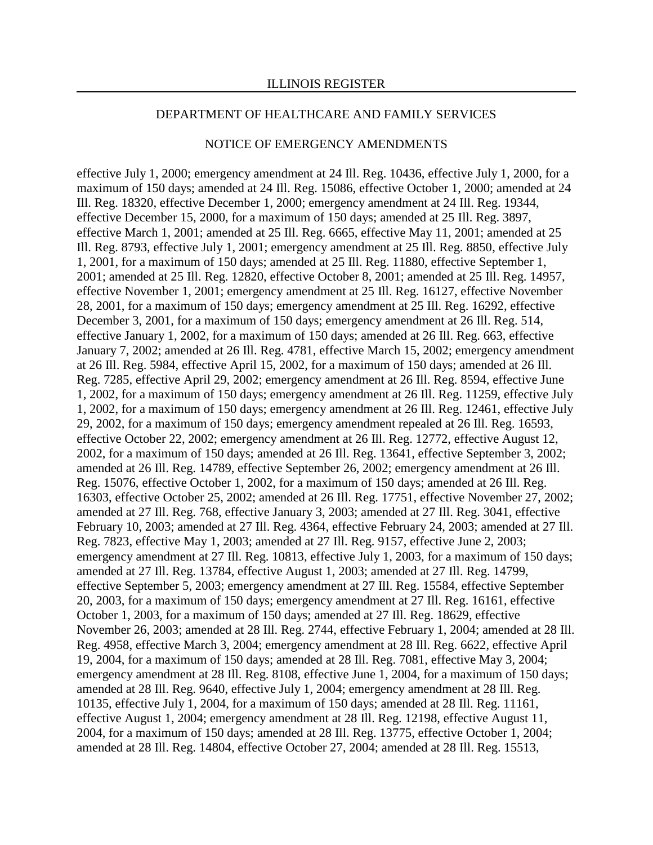#### NOTICE OF EMERGENCY AMENDMENTS

effective July 1, 2000; emergency amendment at 24 Ill. Reg. 10436, effective July 1, 2000, for a maximum of 150 days; amended at 24 Ill. Reg. 15086, effective October 1, 2000; amended at 24 Ill. Reg. 18320, effective December 1, 2000; emergency amendment at 24 Ill. Reg. 19344, effective December 15, 2000, for a maximum of 150 days; amended at 25 Ill. Reg. 3897, effective March 1, 2001; amended at 25 Ill. Reg. 6665, effective May 11, 2001; amended at 25 Ill. Reg. 8793, effective July 1, 2001; emergency amendment at 25 Ill. Reg. 8850, effective July 1, 2001, for a maximum of 150 days; amended at 25 Ill. Reg. 11880, effective September 1, 2001; amended at 25 Ill. Reg. 12820, effective October 8, 2001; amended at 25 Ill. Reg. 14957, effective November 1, 2001; emergency amendment at 25 Ill. Reg. 16127, effective November 28, 2001, for a maximum of 150 days; emergency amendment at 25 Ill. Reg. 16292, effective December 3, 2001, for a maximum of 150 days; emergency amendment at 26 Ill. Reg. 514, effective January 1, 2002, for a maximum of 150 days; amended at 26 Ill. Reg. 663, effective January 7, 2002; amended at 26 Ill. Reg. 4781, effective March 15, 2002; emergency amendment at 26 Ill. Reg. 5984, effective April 15, 2002, for a maximum of 150 days; amended at 26 Ill. Reg. 7285, effective April 29, 2002; emergency amendment at 26 Ill. Reg. 8594, effective June 1, 2002, for a maximum of 150 days; emergency amendment at 26 Ill. Reg. 11259, effective July 1, 2002, for a maximum of 150 days; emergency amendment at 26 Ill. Reg. 12461, effective July 29, 2002, for a maximum of 150 days; emergency amendment repealed at 26 Ill. Reg. 16593, effective October 22, 2002; emergency amendment at 26 Ill. Reg. 12772, effective August 12, 2002, for a maximum of 150 days; amended at 26 Ill. Reg. 13641, effective September 3, 2002; amended at 26 Ill. Reg. 14789, effective September 26, 2002; emergency amendment at 26 Ill. Reg. 15076, effective October 1, 2002, for a maximum of 150 days; amended at 26 Ill. Reg. 16303, effective October 25, 2002; amended at 26 Ill. Reg. 17751, effective November 27, 2002; amended at 27 Ill. Reg. 768, effective January 3, 2003; amended at 27 Ill. Reg. 3041, effective February 10, 2003; amended at 27 Ill. Reg. 4364, effective February 24, 2003; amended at 27 Ill. Reg. 7823, effective May 1, 2003; amended at 27 Ill. Reg. 9157, effective June 2, 2003; emergency amendment at 27 Ill. Reg. 10813, effective July 1, 2003, for a maximum of 150 days; amended at 27 Ill. Reg. 13784, effective August 1, 2003; amended at 27 Ill. Reg. 14799, effective September 5, 2003; emergency amendment at 27 Ill. Reg. 15584, effective September 20, 2003, for a maximum of 150 days; emergency amendment at 27 Ill. Reg. 16161, effective October 1, 2003, for a maximum of 150 days; amended at 27 Ill. Reg. 18629, effective November 26, 2003; amended at 28 Ill. Reg. 2744, effective February 1, 2004; amended at 28 Ill. Reg. 4958, effective March 3, 2004; emergency amendment at 28 Ill. Reg. 6622, effective April 19, 2004, for a maximum of 150 days; amended at 28 Ill. Reg. 7081, effective May 3, 2004; emergency amendment at 28 Ill. Reg. 8108, effective June 1, 2004, for a maximum of 150 days; amended at 28 Ill. Reg. 9640, effective July 1, 2004; emergency amendment at 28 Ill. Reg. 10135, effective July 1, 2004, for a maximum of 150 days; amended at 28 Ill. Reg. 11161, effective August 1, 2004; emergency amendment at 28 Ill. Reg. 12198, effective August 11, 2004, for a maximum of 150 days; amended at 28 Ill. Reg. 13775, effective October 1, 2004; amended at 28 Ill. Reg. 14804, effective October 27, 2004; amended at 28 Ill. Reg. 15513,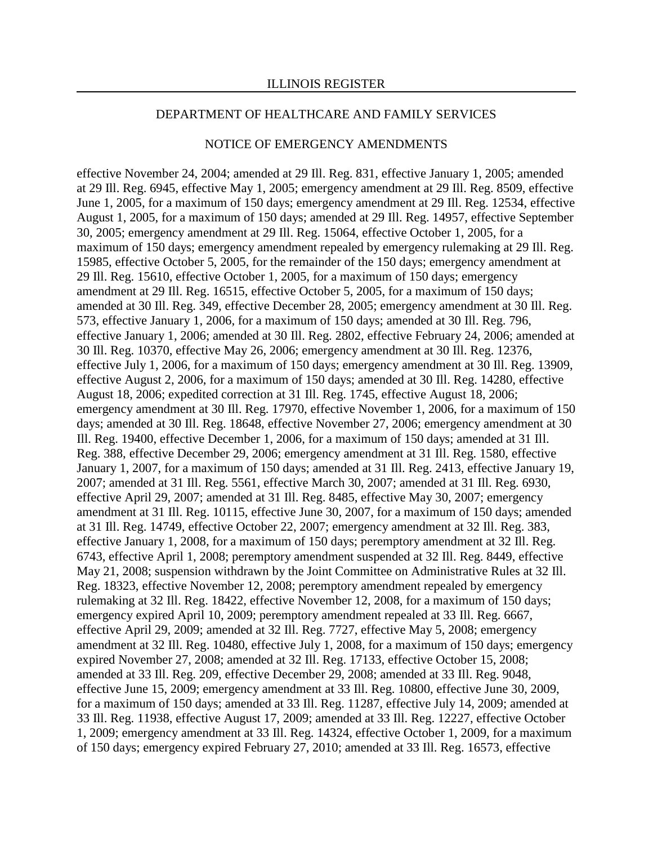#### NOTICE OF EMERGENCY AMENDMENTS

effective November 24, 2004; amended at 29 Ill. Reg. 831, effective January 1, 2005; amended at 29 Ill. Reg. 6945, effective May 1, 2005; emergency amendment at 29 Ill. Reg. 8509, effective June 1, 2005, for a maximum of 150 days; emergency amendment at 29 Ill. Reg. 12534, effective August 1, 2005, for a maximum of 150 days; amended at 29 Ill. Reg. 14957, effective September 30, 2005; emergency amendment at 29 Ill. Reg. 15064, effective October 1, 2005, for a maximum of 150 days; emergency amendment repealed by emergency rulemaking at 29 Ill. Reg. 15985, effective October 5, 2005, for the remainder of the 150 days; emergency amendment at 29 Ill. Reg. 15610, effective October 1, 2005, for a maximum of 150 days; emergency amendment at 29 Ill. Reg. 16515, effective October 5, 2005, for a maximum of 150 days; amended at 30 Ill. Reg. 349, effective December 28, 2005; emergency amendment at 30 Ill. Reg. 573, effective January 1, 2006, for a maximum of 150 days; amended at 30 Ill. Reg. 796, effective January 1, 2006; amended at 30 Ill. Reg. 2802, effective February 24, 2006; amended at 30 Ill. Reg. 10370, effective May 26, 2006; emergency amendment at 30 Ill. Reg. 12376, effective July 1, 2006, for a maximum of 150 days; emergency amendment at 30 Ill. Reg. 13909, effective August 2, 2006, for a maximum of 150 days; amended at 30 Ill. Reg. 14280, effective August 18, 2006; expedited correction at 31 Ill. Reg. 1745, effective August 18, 2006; emergency amendment at 30 Ill. Reg. 17970, effective November 1, 2006, for a maximum of 150 days; amended at 30 Ill. Reg. 18648, effective November 27, 2006; emergency amendment at 30 Ill. Reg. 19400, effective December 1, 2006, for a maximum of 150 days; amended at 31 Ill. Reg. 388, effective December 29, 2006; emergency amendment at 31 Ill. Reg. 1580, effective January 1, 2007, for a maximum of 150 days; amended at 31 Ill. Reg. 2413, effective January 19, 2007; amended at 31 Ill. Reg. 5561, effective March 30, 2007; amended at 31 Ill. Reg. 6930, effective April 29, 2007; amended at 31 Ill. Reg. 8485, effective May 30, 2007; emergency amendment at 31 Ill. Reg. 10115, effective June 30, 2007, for a maximum of 150 days; amended at 31 Ill. Reg. 14749, effective October 22, 2007; emergency amendment at 32 Ill. Reg. 383, effective January 1, 2008, for a maximum of 150 days; peremptory amendment at 32 Ill. Reg. 6743, effective April 1, 2008; peremptory amendment suspended at 32 Ill. Reg. 8449, effective May 21, 2008; suspension withdrawn by the Joint Committee on Administrative Rules at 32 Ill. Reg. 18323, effective November 12, 2008; peremptory amendment repealed by emergency rulemaking at 32 Ill. Reg. 18422, effective November 12, 2008, for a maximum of 150 days; emergency expired April 10, 2009; peremptory amendment repealed at 33 Ill. Reg. 6667, effective April 29, 2009; amended at 32 Ill. Reg. 7727, effective May 5, 2008; emergency amendment at 32 Ill. Reg. 10480, effective July 1, 2008, for a maximum of 150 days; emergency expired November 27, 2008; amended at 32 Ill. Reg. 17133, effective October 15, 2008; amended at 33 Ill. Reg. 209, effective December 29, 2008; amended at 33 Ill. Reg. 9048, effective June 15, 2009; emergency amendment at 33 Ill. Reg. 10800, effective June 30, 2009, for a maximum of 150 days; amended at 33 Ill. Reg. 11287, effective July 14, 2009; amended at 33 Ill. Reg. 11938, effective August 17, 2009; amended at 33 Ill. Reg. 12227, effective October 1, 2009; emergency amendment at 33 Ill. Reg. 14324, effective October 1, 2009, for a maximum of 150 days; emergency expired February 27, 2010; amended at 33 Ill. Reg. 16573, effective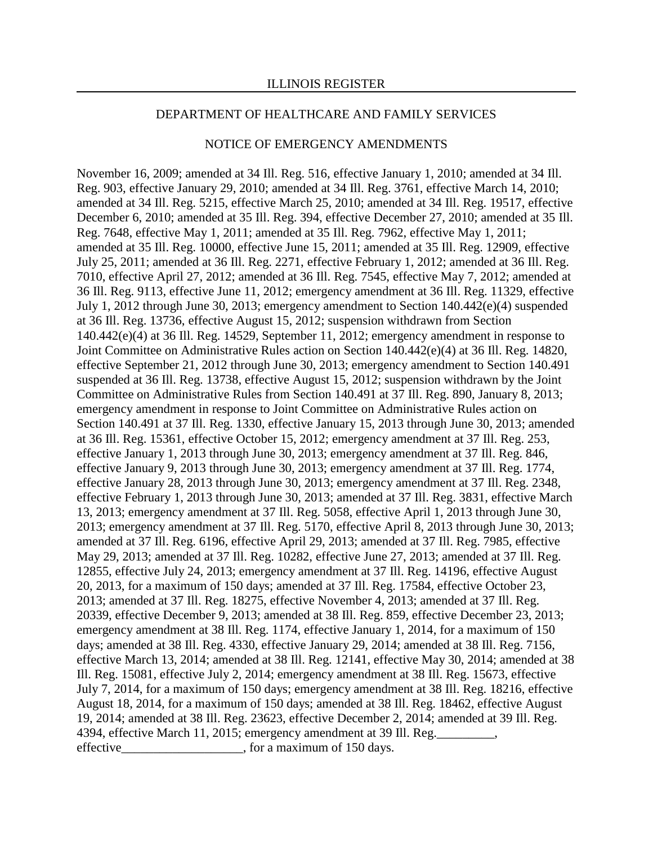#### NOTICE OF EMERGENCY AMENDMENTS

November 16, 2009; amended at 34 Ill. Reg. 516, effective January 1, 2010; amended at 34 Ill. Reg. 903, effective January 29, 2010; amended at 34 Ill. Reg. 3761, effective March 14, 2010; amended at 34 Ill. Reg. 5215, effective March 25, 2010; amended at 34 Ill. Reg. 19517, effective December 6, 2010; amended at 35 Ill. Reg. 394, effective December 27, 2010; amended at 35 Ill. Reg. 7648, effective May 1, 2011; amended at 35 Ill. Reg. 7962, effective May 1, 2011; amended at 35 Ill. Reg. 10000, effective June 15, 2011; amended at 35 Ill. Reg. 12909, effective July 25, 2011; amended at 36 Ill. Reg. 2271, effective February 1, 2012; amended at 36 Ill. Reg. 7010, effective April 27, 2012; amended at 36 Ill. Reg. 7545, effective May 7, 2012; amended at 36 Ill. Reg. 9113, effective June 11, 2012; emergency amendment at 36 Ill. Reg. 11329, effective July 1, 2012 through June 30, 2013; emergency amendment to Section 140.442(e)(4) suspended at 36 Ill. Reg. 13736, effective August 15, 2012; suspension withdrawn from Section 140.442(e)(4) at 36 Ill. Reg. 14529, September 11, 2012; emergency amendment in response to Joint Committee on Administrative Rules action on Section 140.442(e)(4) at 36 Ill. Reg. 14820, effective September 21, 2012 through June 30, 2013; emergency amendment to Section 140.491 suspended at 36 Ill. Reg. 13738, effective August 15, 2012; suspension withdrawn by the Joint Committee on Administrative Rules from Section 140.491 at 37 Ill. Reg. 890, January 8, 2013; emergency amendment in response to Joint Committee on Administrative Rules action on Section 140.491 at 37 Ill. Reg. 1330, effective January 15, 2013 through June 30, 2013; amended at 36 Ill. Reg. 15361, effective October 15, 2012; emergency amendment at 37 Ill. Reg. 253, effective January 1, 2013 through June 30, 2013; emergency amendment at 37 Ill. Reg. 846, effective January 9, 2013 through June 30, 2013; emergency amendment at 37 Ill. Reg. 1774, effective January 28, 2013 through June 30, 2013; emergency amendment at 37 Ill. Reg. 2348, effective February 1, 2013 through June 30, 2013; amended at 37 Ill. Reg. 3831, effective March 13, 2013; emergency amendment at 37 Ill. Reg. 5058, effective April 1, 2013 through June 30, 2013; emergency amendment at 37 Ill. Reg. 5170, effective April 8, 2013 through June 30, 2013; amended at 37 Ill. Reg. 6196, effective April 29, 2013; amended at 37 Ill. Reg. 7985, effective May 29, 2013; amended at 37 Ill. Reg. 10282, effective June 27, 2013; amended at 37 Ill. Reg. 12855, effective July 24, 2013; emergency amendment at 37 Ill. Reg. 14196, effective August 20, 2013, for a maximum of 150 days; amended at 37 Ill. Reg. 17584, effective October 23, 2013; amended at 37 Ill. Reg. 18275, effective November 4, 2013; amended at 37 Ill. Reg. 20339, effective December 9, 2013; amended at 38 Ill. Reg. 859, effective December 23, 2013; emergency amendment at 38 Ill. Reg. 1174, effective January 1, 2014, for a maximum of 150 days; amended at 38 Ill. Reg. 4330, effective January 29, 2014; amended at 38 Ill. Reg. 7156, effective March 13, 2014; amended at 38 Ill. Reg. 12141, effective May 30, 2014; amended at 38 Ill. Reg. 15081, effective July 2, 2014; emergency amendment at 38 Ill. Reg. 15673, effective July 7, 2014, for a maximum of 150 days; emergency amendment at 38 Ill. Reg. 18216, effective August 18, 2014, for a maximum of 150 days; amended at 38 Ill. Reg. 18462, effective August 19, 2014; amended at 38 Ill. Reg. 23623, effective December 2, 2014; amended at 39 Ill. Reg. 4394, effective March 11, 2015; emergency amendment at 39 Ill. Reg. effective \_\_\_\_\_\_\_\_\_\_\_\_\_\_\_\_\_\_\_, for a maximum of 150 days.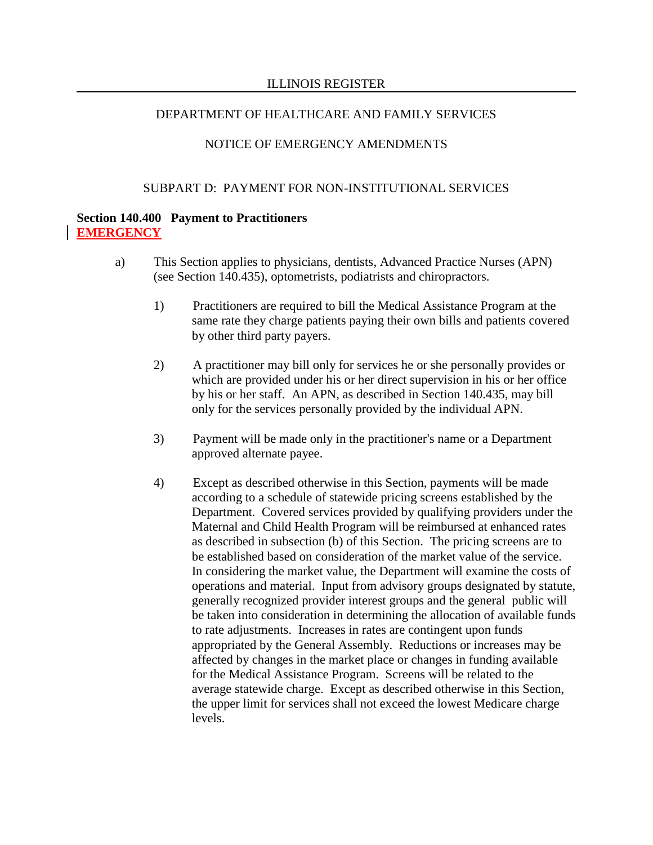# NOTICE OF EMERGENCY AMENDMENTS

## SUBPART D: PAYMENT FOR NON-INSTITUTIONAL SERVICES

## **Section 140.400 Payment to Practitioners EMERGENCY**

- a) This Section applies to physicians, dentists, Advanced Practice Nurses (APN) (see Section 140.435), optometrists, podiatrists and chiropractors.
	- 1) Practitioners are required to bill the Medical Assistance Program at the same rate they charge patients paying their own bills and patients covered by other third party payers.
	- 2) A practitioner may bill only for services he or she personally provides or which are provided under his or her direct supervision in his or her office by his or her staff. An APN, as described in Section 140.435, may bill only for the services personally provided by the individual APN.
	- 3) Payment will be made only in the practitioner's name or a Department approved alternate payee.
	- 4) Except as described otherwise in this Section, payments will be made according to a schedule of statewide pricing screens established by the Department. Covered services provided by qualifying providers under the Maternal and Child Health Program will be reimbursed at enhanced rates as described in subsection (b) of this Section. The pricing screens are to be established based on consideration of the market value of the service. In considering the market value, the Department will examine the costs of operations and material. Input from advisory groups designated by statute, generally recognized provider interest groups and the general public will be taken into consideration in determining the allocation of available funds to rate adjustments. Increases in rates are contingent upon funds appropriated by the General Assembly. Reductions or increases may be affected by changes in the market place or changes in funding available for the Medical Assistance Program. Screens will be related to the average statewide charge. Except as described otherwise in this Section, the upper limit for services shall not exceed the lowest Medicare charge levels.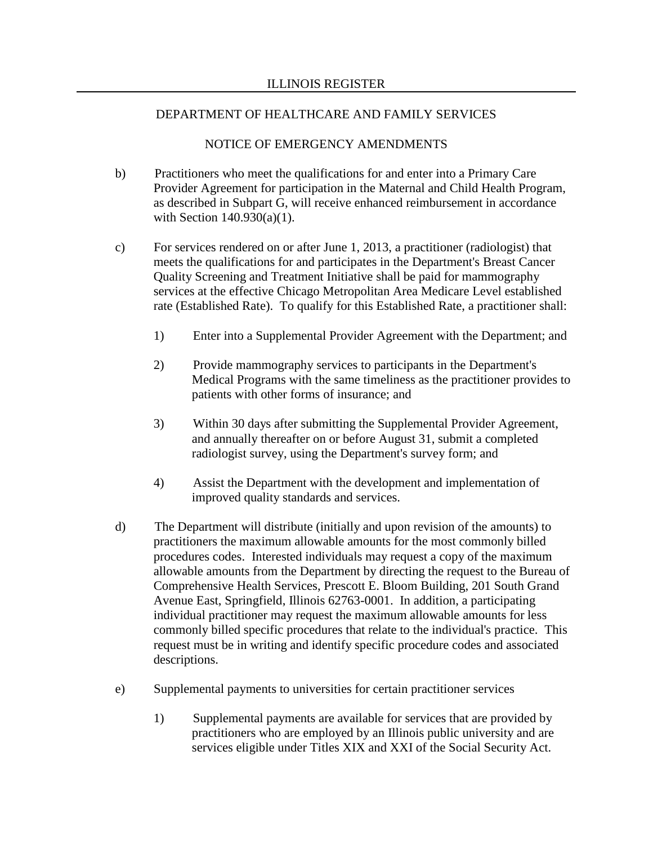- b) Practitioners who meet the qualifications for and enter into a Primary Care Provider Agreement for participation in the Maternal and Child Health Program, as described in Subpart G, will receive enhanced reimbursement in accordance with Section 140.930(a)(1).
- c) For services rendered on or after June 1, 2013, a practitioner (radiologist) that meets the qualifications for and participates in the Department's Breast Cancer Quality Screening and Treatment Initiative shall be paid for mammography services at the effective Chicago Metropolitan Area Medicare Level established rate (Established Rate). To qualify for this Established Rate, a practitioner shall:
	- 1) Enter into a Supplemental Provider Agreement with the Department; and
	- 2) Provide mammography services to participants in the Department's Medical Programs with the same timeliness as the practitioner provides to patients with other forms of insurance; and
	- 3) Within 30 days after submitting the Supplemental Provider Agreement, and annually thereafter on or before August 31, submit a completed radiologist survey, using the Department's survey form; and
	- 4) Assist the Department with the development and implementation of improved quality standards and services.
- d) The Department will distribute (initially and upon revision of the amounts) to practitioners the maximum allowable amounts for the most commonly billed procedures codes. Interested individuals may request a copy of the maximum allowable amounts from the Department by directing the request to the Bureau of Comprehensive Health Services, Prescott E. Bloom Building, 201 South Grand Avenue East, Springfield, Illinois 62763-0001. In addition, a participating individual practitioner may request the maximum allowable amounts for less commonly billed specific procedures that relate to the individual's practice. This request must be in writing and identify specific procedure codes and associated descriptions.
- e) Supplemental payments to universities for certain practitioner services
	- 1) Supplemental payments are available for services that are provided by practitioners who are employed by an Illinois public university and are services eligible under Titles XIX and XXI of the Social Security Act.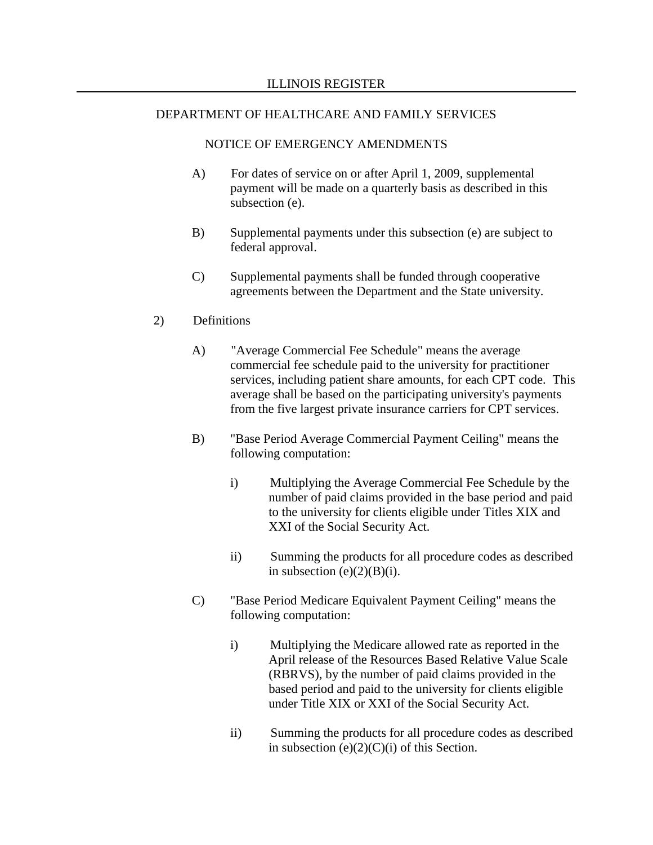#### NOTICE OF EMERGENCY AMENDMENTS

- A) For dates of service on or after April 1, 2009, supplemental payment will be made on a quarterly basis as described in this subsection (e).
- B) Supplemental payments under this subsection (e) are subject to federal approval.
- C) Supplemental payments shall be funded through cooperative agreements between the Department and the State university.

### 2) Definitions

- A) "Average Commercial Fee Schedule" means the average commercial fee schedule paid to the university for practitioner services, including patient share amounts, for each CPT code. This average shall be based on the participating university's payments from the five largest private insurance carriers for CPT services.
- B) "Base Period Average Commercial Payment Ceiling" means the following computation:
	- i) Multiplying the Average Commercial Fee Schedule by the number of paid claims provided in the base period and paid to the university for clients eligible under Titles XIX and XXI of the Social Security Act.
	- ii) Summing the products for all procedure codes as described in subsection  $(e)(2)(B)(i)$ .
- C) "Base Period Medicare Equivalent Payment Ceiling" means the following computation:
	- i) Multiplying the Medicare allowed rate as reported in the April release of the Resources Based Relative Value Scale (RBRVS), by the number of paid claims provided in the based period and paid to the university for clients eligible under Title XIX or XXI of the Social Security Act.
	- ii) Summing the products for all procedure codes as described in subsection  $(e)(2)(C)(i)$  of this Section.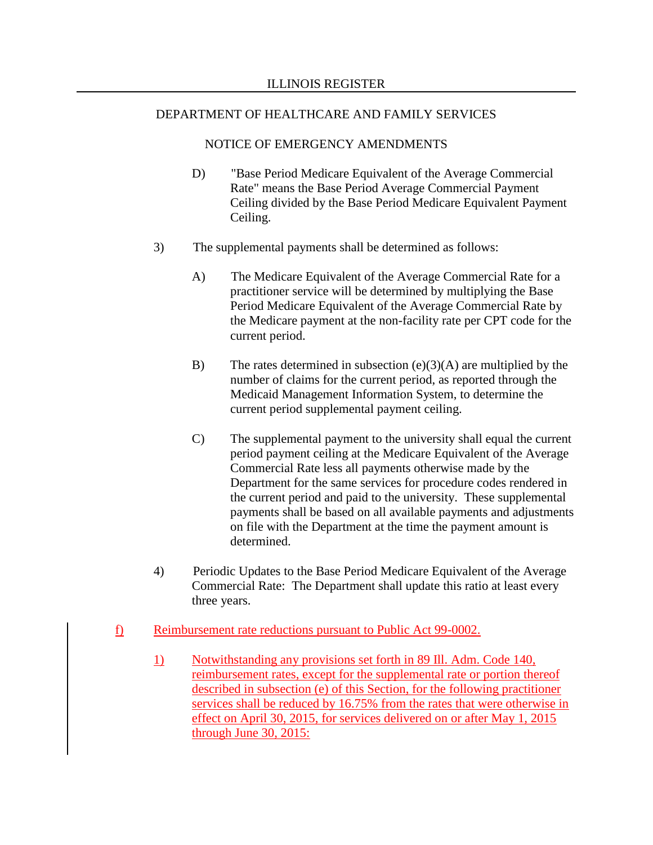- D) "Base Period Medicare Equivalent of the Average Commercial Rate" means the Base Period Average Commercial Payment Ceiling divided by the Base Period Medicare Equivalent Payment Ceiling.
- 3) The supplemental payments shall be determined as follows:
	- A) The Medicare Equivalent of the Average Commercial Rate for a practitioner service will be determined by multiplying the Base Period Medicare Equivalent of the Average Commercial Rate by the Medicare payment at the non-facility rate per CPT code for the current period.
	- B) The rates determined in subsection  $(e)(3)(A)$  are multiplied by the number of claims for the current period, as reported through the Medicaid Management Information System, to determine the current period supplemental payment ceiling.
	- C) The supplemental payment to the university shall equal the current period payment ceiling at the Medicare Equivalent of the Average Commercial Rate less all payments otherwise made by the Department for the same services for procedure codes rendered in the current period and paid to the university. These supplemental payments shall be based on all available payments and adjustments on file with the Department at the time the payment amount is determined.
- 4) Periodic Updates to the Base Period Medicare Equivalent of the Average Commercial Rate: The Department shall update this ratio at least every three years.
- f) Reimbursement rate reductions pursuant to Public Act 99-0002.
	- 1) Notwithstanding any provisions set forth in 89 Ill. Adm. Code 140, reimbursement rates, except for the supplemental rate or portion thereof described in subsection (e) of this Section, for the following practitioner services shall be reduced by 16.75% from the rates that were otherwise in effect on April 30, 2015, for services delivered on or after May 1, 2015 through June 30, 2015: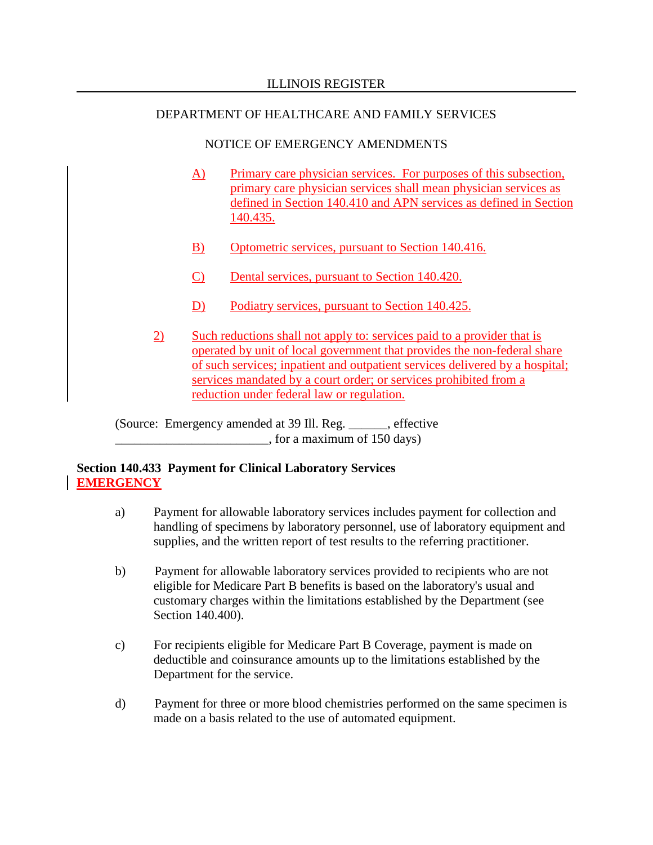## NOTICE OF EMERGENCY AMENDMENTS

- A) Primary care physician services. For purposes of this subsection, primary care physician services shall mean physician services as defined in Section 140.410 and APN services as defined in Section 140.435.
- B) Optometric services, pursuant to Section 140.416.
- C) Dental services, pursuant to Section 140.420.
- D) Podiatry services, pursuant to Section 140.425.
- 2) Such reductions shall not apply to: services paid to a provider that is operated by unit of local government that provides the non-federal share of such services; inpatient and outpatient services delivered by a hospital; services mandated by a court order; or services prohibited from a reduction under federal law or regulation.

(Source: Emergency amended at 39 Ill. Reg. \_\_\_\_\_\_, effective  $\frac{1}{2}$ , for a maximum of 150 days)

# **Section 140.433 Payment for Clinical Laboratory Services EMERGENCY**

- a) Payment for allowable laboratory services includes payment for collection and handling of specimens by laboratory personnel, use of laboratory equipment and supplies, and the written report of test results to the referring practitioner.
- b) Payment for allowable laboratory services provided to recipients who are not eligible for Medicare Part B benefits is based on the laboratory's usual and customary charges within the limitations established by the Department (see Section 140.400).
- c) For recipients eligible for Medicare Part B Coverage, payment is made on deductible and coinsurance amounts up to the limitations established by the Department for the service.
- d) Payment for three or more blood chemistries performed on the same specimen is made on a basis related to the use of automated equipment.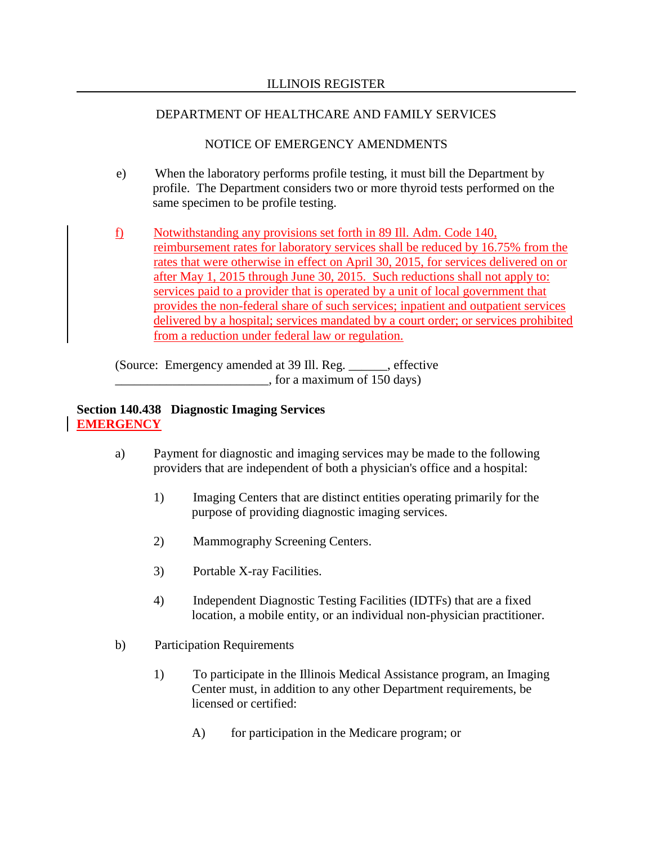# NOTICE OF EMERGENCY AMENDMENTS

- e) When the laboratory performs profile testing, it must bill the Department by profile. The Department considers two or more thyroid tests performed on the same specimen to be profile testing.
- f) Notwithstanding any provisions set forth in 89 Ill. Adm. Code 140, reimbursement rates for laboratory services shall be reduced by 16.75% from the rates that were otherwise in effect on April 30, 2015, for services delivered on or after May 1, 2015 through June 30, 2015. Such reductions shall not apply to: services paid to a provider that is operated by a unit of local government that provides the non-federal share of such services; inpatient and outpatient services delivered by a hospital; services mandated by a court order; or services prohibited from a reduction under federal law or regulation.

(Source: Emergency amended at 39 Ill. Reg. \_\_\_\_\_\_, effective  $\frac{1}{2}$ , for a maximum of 150 days)

# **Section 140.438 Diagnostic Imaging Services EMERGENCY**

- a) Payment for diagnostic and imaging services may be made to the following providers that are independent of both a physician's office and a hospital:
	- 1) Imaging Centers that are distinct entities operating primarily for the purpose of providing diagnostic imaging services.
	- 2) Mammography Screening Centers.
	- 3) Portable X-ray Facilities.
	- 4) Independent Diagnostic Testing Facilities (IDTFs) that are a fixed location, a mobile entity, or an individual non-physician practitioner.
- b) Participation Requirements
	- 1) To participate in the Illinois Medical Assistance program, an Imaging Center must, in addition to any other Department requirements, be licensed or certified:
		- A) for participation in the Medicare program; or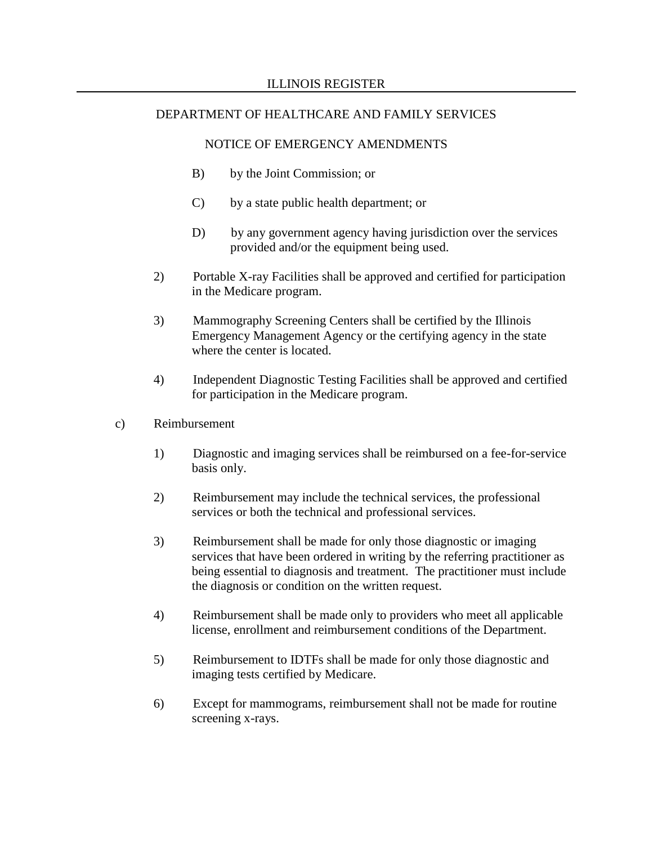- B) by the Joint Commission; or
- C) by a state public health department; or
- D) by any government agency having jurisdiction over the services provided and/or the equipment being used.
- 2) Portable X-ray Facilities shall be approved and certified for participation in the Medicare program.
- 3) Mammography Screening Centers shall be certified by the Illinois Emergency Management Agency or the certifying agency in the state where the center is located.
- 4) Independent Diagnostic Testing Facilities shall be approved and certified for participation in the Medicare program.
- c) Reimbursement
	- 1) Diagnostic and imaging services shall be reimbursed on a fee-for-service basis only.
	- 2) Reimbursement may include the technical services, the professional services or both the technical and professional services.
	- 3) Reimbursement shall be made for only those diagnostic or imaging services that have been ordered in writing by the referring practitioner as being essential to diagnosis and treatment. The practitioner must include the diagnosis or condition on the written request.
	- 4) Reimbursement shall be made only to providers who meet all applicable license, enrollment and reimbursement conditions of the Department.
	- 5) Reimbursement to IDTFs shall be made for only those diagnostic and imaging tests certified by Medicare.
	- 6) Except for mammograms, reimbursement shall not be made for routine screening x-rays.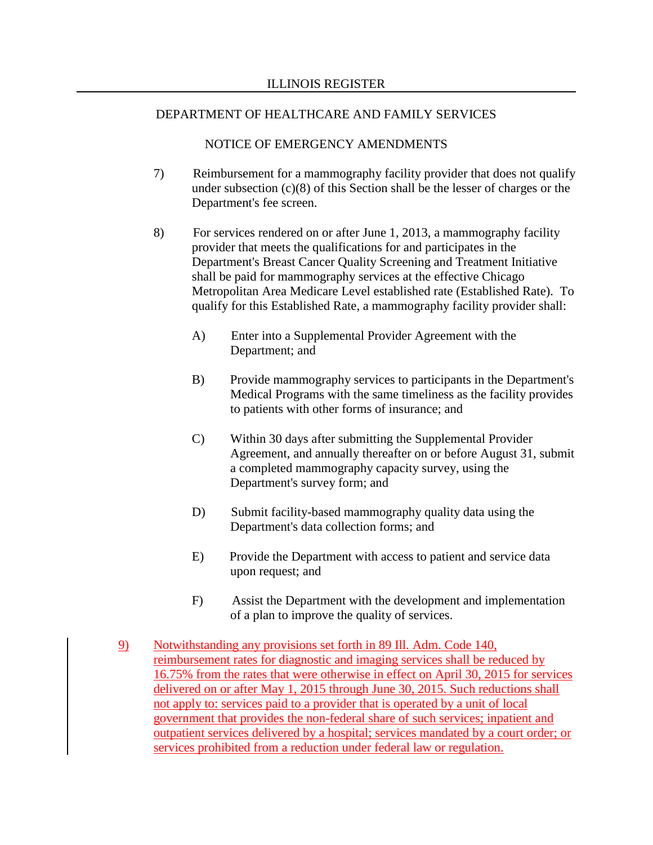- 7) Reimbursement for a mammography facility provider that does not qualify under subsection (c)(8) of this Section shall be the lesser of charges or the Department's fee screen.
- 8) For services rendered on or after June 1, 2013, a mammography facility provider that meets the qualifications for and participates in the Department's Breast Cancer Quality Screening and Treatment Initiative shall be paid for mammography services at the effective Chicago Metropolitan Area Medicare Level established rate (Established Rate). To qualify for this Established Rate, a mammography facility provider shall:
	- A) Enter into a Supplemental Provider Agreement with the Department; and
	- B) Provide mammography services to participants in the Department's Medical Programs with the same timeliness as the facility provides to patients with other forms of insurance; and
	- C) Within 30 days after submitting the Supplemental Provider Agreement, and annually thereafter on or before August 31, submit a completed mammography capacity survey, using the Department's survey form; and
	- D) Submit facility-based mammography quality data using the Department's data collection forms; and
	- E) Provide the Department with access to patient and service data upon request; and
	- F) Assist the Department with the development and implementation of a plan to improve the quality of services.
- 9) Notwithstanding any provisions set forth in 89 Ill. Adm. Code 140, reimbursement rates for diagnostic and imaging services shall be reduced by 16.75% from the rates that were otherwise in effect on April 30, 2015 for services delivered on or after May 1, 2015 through June 30, 2015. Such reductions shall not apply to: services paid to a provider that is operated by a unit of local government that provides the non-federal share of such services; inpatient and outpatient services delivered by a hospital; services mandated by a court order; or services prohibited from a reduction under federal law or regulation.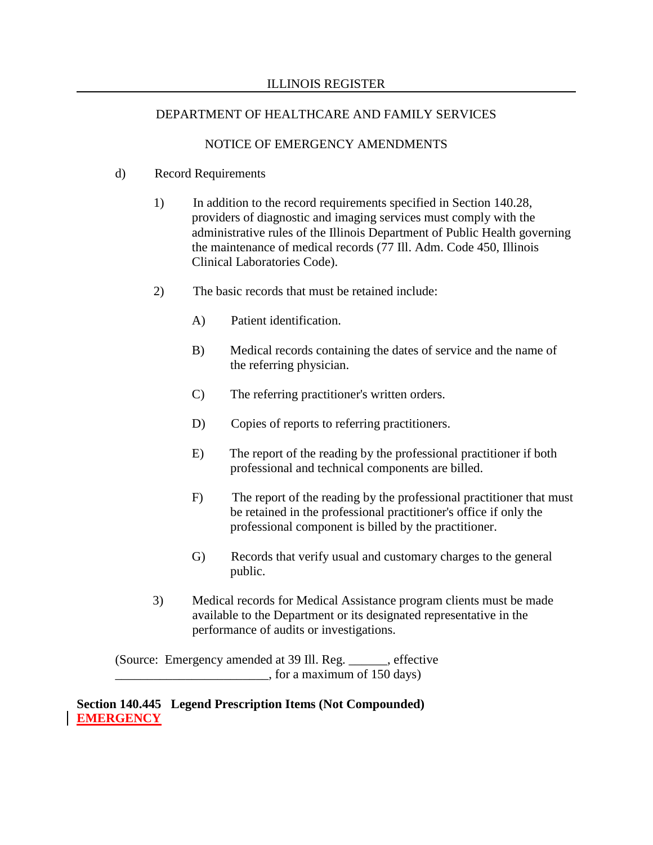## NOTICE OF EMERGENCY AMENDMENTS

## d) Record Requirements

- 1) In addition to the record requirements specified in Section 140.28, providers of diagnostic and imaging services must comply with the administrative rules of the Illinois Department of Public Health governing the maintenance of medical records (77 Ill. Adm. Code 450, Illinois Clinical Laboratories Code).
- 2) The basic records that must be retained include:
	- A) Patient identification.
	- B) Medical records containing the dates of service and the name of the referring physician.
	- C) The referring practitioner's written orders.
	- D) Copies of reports to referring practitioners.
	- E) The report of the reading by the professional practitioner if both professional and technical components are billed.
	- F) The report of the reading by the professional practitioner that must be retained in the professional practitioner's office if only the professional component is billed by the practitioner.
	- G) Records that verify usual and customary charges to the general public.
- 3) Medical records for Medical Assistance program clients must be made available to the Department or its designated representative in the performance of audits or investigations.

(Source: Emergency amended at 39 Ill. Reg. \_\_\_\_\_\_, effective  $\frac{1}{2}$ , for a maximum of 150 days)

**Section 140.445 Legend Prescription Items (Not Compounded) EMERGENCY**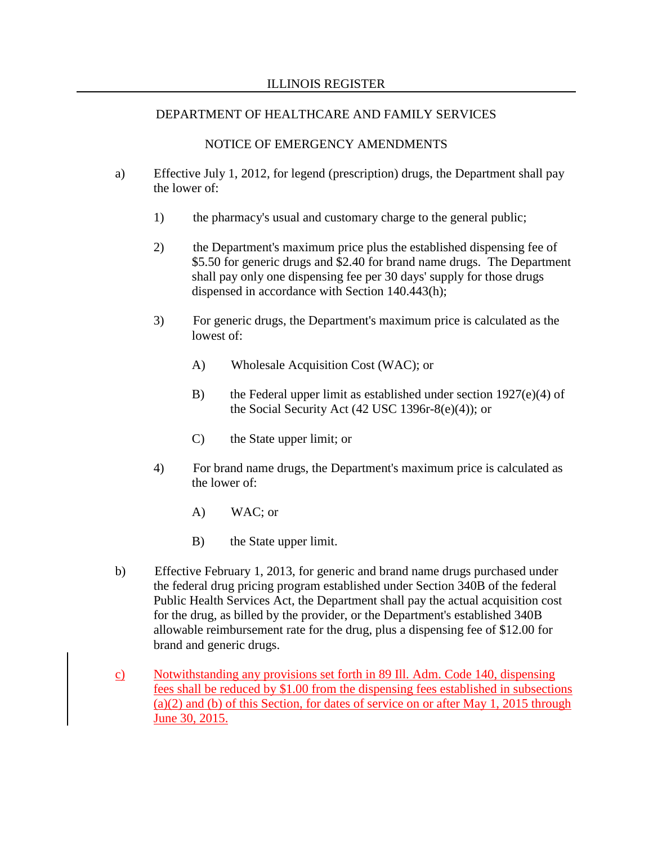- a) Effective July 1, 2012, for legend (prescription) drugs, the Department shall pay the lower of:
	- 1) the pharmacy's usual and customary charge to the general public;
	- 2) the Department's maximum price plus the established dispensing fee of \$5.50 for generic drugs and \$2.40 for brand name drugs. The Department shall pay only one dispensing fee per 30 days' supply for those drugs dispensed in accordance with Section 140.443(h);
	- 3) For generic drugs, the Department's maximum price is calculated as the lowest of:
		- A) Wholesale Acquisition Cost (WAC); or
		- B) the Federal upper limit as established under section  $1927(e)(4)$  of the Social Security Act (42 USC 1396r-8(e)(4)); or
		- C) the State upper limit; or
	- 4) For brand name drugs, the Department's maximum price is calculated as the lower of:
		- A) WAC; or
		- B) the State upper limit.
- b) Effective February 1, 2013, for generic and brand name drugs purchased under the federal drug pricing program established under Section 340B of the federal Public Health Services Act, the Department shall pay the actual acquisition cost for the drug, as billed by the provider, or the Department's established 340B allowable reimbursement rate for the drug, plus a dispensing fee of \$12.00 for brand and generic drugs.
- c) Notwithstanding any provisions set forth in 89 Ill. Adm. Code 140, dispensing fees shall be reduced by \$1.00 from the dispensing fees established in subsections (a)(2) and (b) of this Section, for dates of service on or after May 1, 2015 through June 30, 2015.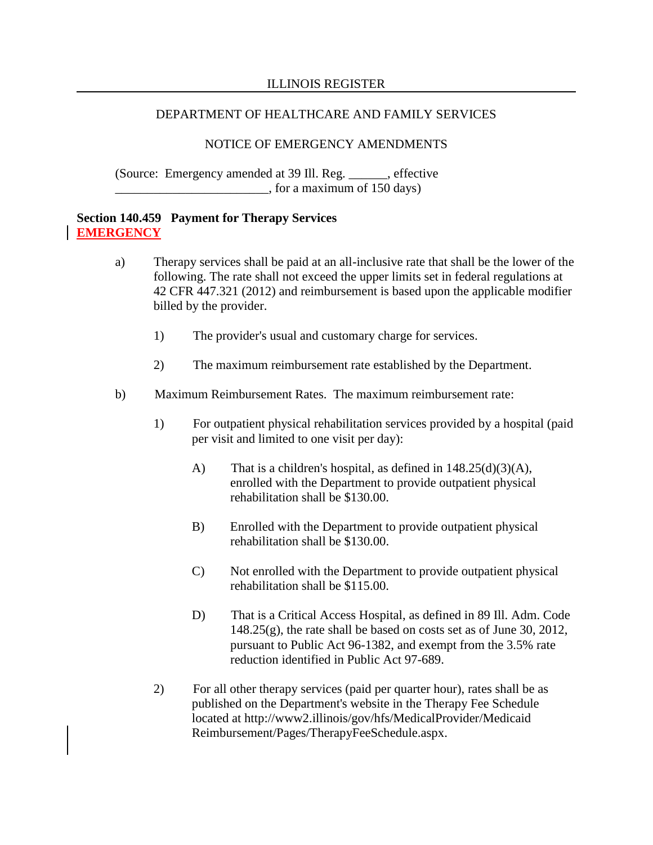### ILLINOIS REGISTER

### DEPARTMENT OF HEALTHCARE AND FAMILY SERVICES

### NOTICE OF EMERGENCY AMENDMENTS

(Source: Emergency amended at 39 Ill. Reg. \_\_\_\_\_\_, effective  $\frac{1}{2}$ , for a maximum of 150 days)

## **Section 140.459 Payment for Therapy Services EMERGENCY**

- a) Therapy services shall be paid at an all-inclusive rate that shall be the lower of the following. The rate shall not exceed the upper limits set in federal regulations at 42 CFR 447.321 (2012) and reimbursement is based upon the applicable modifier billed by the provider.
	- 1) The provider's usual and customary charge for services.
	- 2) The maximum reimbursement rate established by the Department.
- b) Maximum Reimbursement Rates. The maximum reimbursement rate:
	- 1) For outpatient physical rehabilitation services provided by a hospital (paid per visit and limited to one visit per day):
		- A) That is a children's hospital, as defined in  $148.25(d)(3)(A)$ , enrolled with the Department to provide outpatient physical rehabilitation shall be \$130.00.
		- B) Enrolled with the Department to provide outpatient physical rehabilitation shall be \$130.00.
		- C) Not enrolled with the Department to provide outpatient physical rehabilitation shall be \$115.00.
		- D) That is a Critical Access Hospital, as defined in 89 Ill. Adm. Code 148.25(g), the rate shall be based on costs set as of June 30, 2012, pursuant to Public Act 96-1382, and exempt from the 3.5% rate reduction identified in Public Act 97-689.
	- 2) For all other therapy services (paid per quarter hour), rates shall be as published on the Department's website in the Therapy Fee Schedule located at http://www2.illinois/gov/hfs/MedicalProvider/Medicaid Reimbursement/Pages/TherapyFeeSchedule.aspx.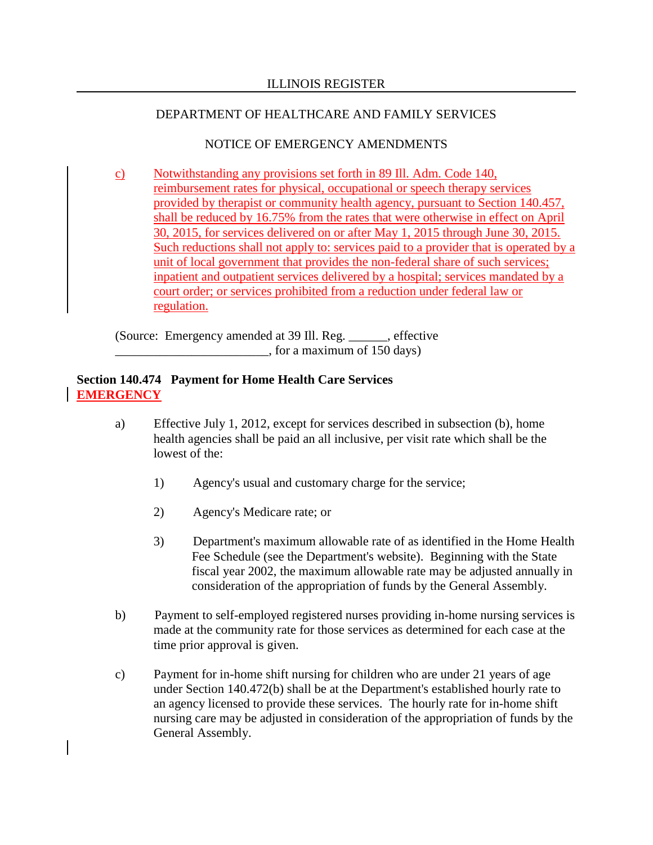# NOTICE OF EMERGENCY AMENDMENTS

c) Notwithstanding any provisions set forth in 89 Ill. Adm. Code 140, reimbursement rates for physical, occupational or speech therapy services provided by therapist or community health agency, pursuant to Section 140.457, shall be reduced by 16.75% from the rates that were otherwise in effect on April 30, 2015, for services delivered on or after May 1, 2015 through June 30, 2015. Such reductions shall not apply to: services paid to a provider that is operated by a unit of local government that provides the non-federal share of such services; inpatient and outpatient services delivered by a hospital; services mandated by a court order; or services prohibited from a reduction under federal law or regulation.

(Source: Emergency amended at 39 Ill. Reg. \_\_\_\_\_\_, effective  $\Box$ , for a maximum of 150 days)

### **Section 140.474 Payment for Home Health Care Services EMERGENCY**

- a) Effective July 1, 2012, except for services described in subsection (b), home health agencies shall be paid an all inclusive, per visit rate which shall be the lowest of the:
	- 1) Agency's usual and customary charge for the service;
	- 2) Agency's Medicare rate; or
	- 3) Department's maximum allowable rate of as identified in the Home Health Fee Schedule (see the Department's website). Beginning with the State fiscal year 2002, the maximum allowable rate may be adjusted annually in consideration of the appropriation of funds by the General Assembly.
- b) Payment to self-employed registered nurses providing in-home nursing services is made at the community rate for those services as determined for each case at the time prior approval is given.
- c) Payment for in-home shift nursing for children who are under 21 years of age under Section 140.472(b) shall be at the Department's established hourly rate to an agency licensed to provide these services. The hourly rate for in-home shift nursing care may be adjusted in consideration of the appropriation of funds by the General Assembly.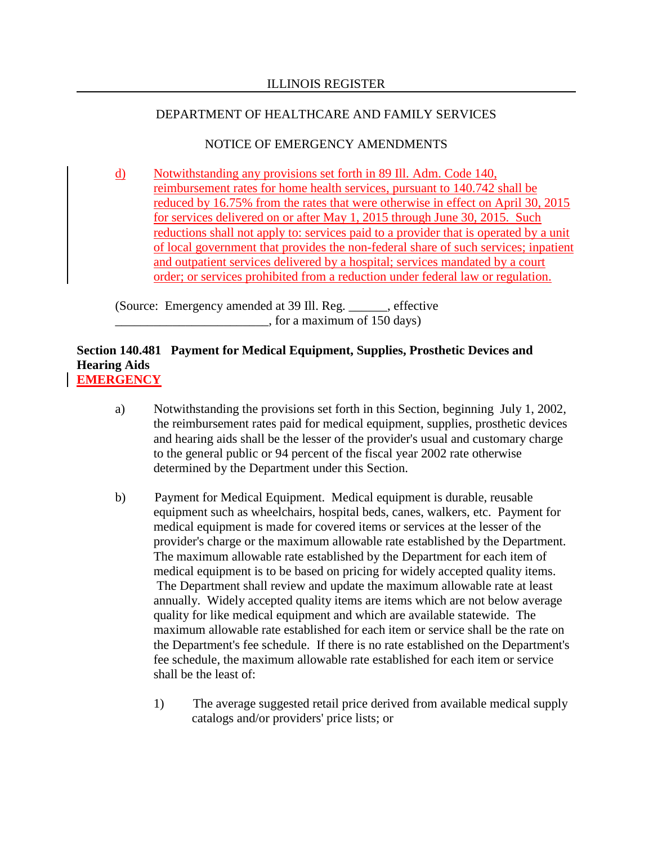# NOTICE OF EMERGENCY AMENDMENTS

d) Notwithstanding any provisions set forth in 89 Ill. Adm. Code 140, reimbursement rates for home health services, pursuant to 140.742 shall be reduced by 16.75% from the rates that were otherwise in effect on April 30, 2015 for services delivered on or after May 1, 2015 through June 30, 2015. Such reductions shall not apply to: services paid to a provider that is operated by a unit of local government that provides the non-federal share of such services; inpatient and outpatient services delivered by a hospital; services mandated by a court order; or services prohibited from a reduction under federal law or regulation.

(Source: Emergency amended at 39 Ill. Reg. \_\_\_\_\_\_, effective  $\frac{1}{2}$ , for a maximum of 150 days)

## **Section 140.481 Payment for Medical Equipment, Supplies, Prosthetic Devices and Hearing Aids EMERGENCY**

- a) Notwithstanding the provisions set forth in this Section, beginning July 1, 2002, the reimbursement rates paid for medical equipment, supplies, prosthetic devices and hearing aids shall be the lesser of the provider's usual and customary charge to the general public or 94 percent of the fiscal year 2002 rate otherwise determined by the Department under this Section.
- b) Payment for Medical Equipment. Medical equipment is durable, reusable equipment such as wheelchairs, hospital beds, canes, walkers, etc. Payment for medical equipment is made for covered items or services at the lesser of the provider's charge or the maximum allowable rate established by the Department. The maximum allowable rate established by the Department for each item of medical equipment is to be based on pricing for widely accepted quality items. The Department shall review and update the maximum allowable rate at least annually. Widely accepted quality items are items which are not below average quality for like medical equipment and which are available statewide. The maximum allowable rate established for each item or service shall be the rate on the Department's fee schedule. If there is no rate established on the Department's fee schedule, the maximum allowable rate established for each item or service shall be the least of:
	- 1) The average suggested retail price derived from available medical supply catalogs and/or providers' price lists; or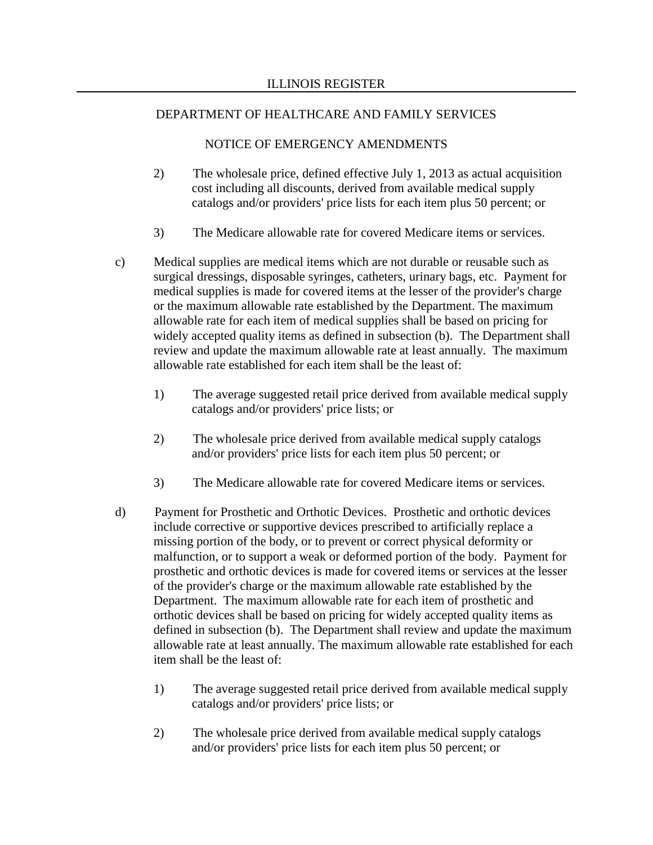- 2) The wholesale price, defined effective July 1, 2013 as actual acquisition cost including all discounts, derived from available medical supply catalogs and/or providers' price lists for each item plus 50 percent; or
- 3) The Medicare allowable rate for covered Medicare items or services.
- c) Medical supplies are medical items which are not durable or reusable such as surgical dressings, disposable syringes, catheters, urinary bags, etc. Payment for medical supplies is made for covered items at the lesser of the provider's charge or the maximum allowable rate established by the Department. The maximum allowable rate for each item of medical supplies shall be based on pricing for widely accepted quality items as defined in subsection (b). The Department shall review and update the maximum allowable rate at least annually. The maximum allowable rate established for each item shall be the least of:
	- 1) The average suggested retail price derived from available medical supply catalogs and/or providers' price lists; or
	- 2) The wholesale price derived from available medical supply catalogs and/or providers' price lists for each item plus 50 percent; or
	- 3) The Medicare allowable rate for covered Medicare items or services.
- d) Payment for Prosthetic and Orthotic Devices. Prosthetic and orthotic devices include corrective or supportive devices prescribed to artificially replace a missing portion of the body, or to prevent or correct physical deformity or malfunction, or to support a weak or deformed portion of the body. Payment for prosthetic and orthotic devices is made for covered items or services at the lesser of the provider's charge or the maximum allowable rate established by the Department. The maximum allowable rate for each item of prosthetic and orthotic devices shall be based on pricing for widely accepted quality items as defined in subsection (b). The Department shall review and update the maximum allowable rate at least annually. The maximum allowable rate established for each item shall be the least of:
	- 1) The average suggested retail price derived from available medical supply catalogs and/or providers' price lists; or
	- 2) The wholesale price derived from available medical supply catalogs and/or providers' price lists for each item plus 50 percent; or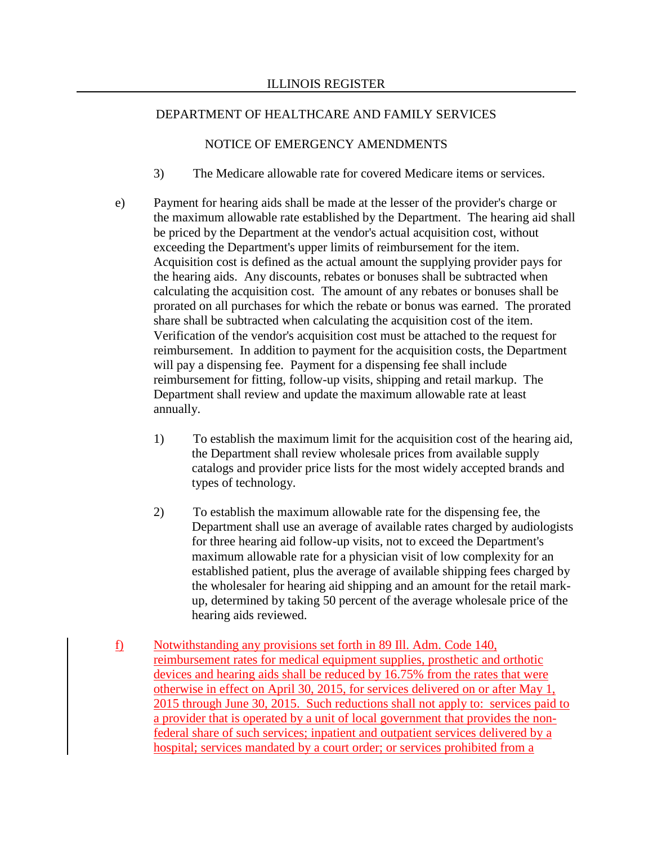- 3) The Medicare allowable rate for covered Medicare items or services.
- e) Payment for hearing aids shall be made at the lesser of the provider's charge or the maximum allowable rate established by the Department. The hearing aid shall be priced by the Department at the vendor's actual acquisition cost, without exceeding the Department's upper limits of reimbursement for the item. Acquisition cost is defined as the actual amount the supplying provider pays for the hearing aids. Any discounts, rebates or bonuses shall be subtracted when calculating the acquisition cost. The amount of any rebates or bonuses shall be prorated on all purchases for which the rebate or bonus was earned. The prorated share shall be subtracted when calculating the acquisition cost of the item. Verification of the vendor's acquisition cost must be attached to the request for reimbursement. In addition to payment for the acquisition costs, the Department will pay a dispensing fee. Payment for a dispensing fee shall include reimbursement for fitting, follow-up visits, shipping and retail markup. The Department shall review and update the maximum allowable rate at least annually.
	- 1) To establish the maximum limit for the acquisition cost of the hearing aid, the Department shall review wholesale prices from available supply catalogs and provider price lists for the most widely accepted brands and types of technology.
	- 2) To establish the maximum allowable rate for the dispensing fee, the Department shall use an average of available rates charged by audiologists for three hearing aid follow-up visits, not to exceed the Department's maximum allowable rate for a physician visit of low complexity for an established patient, plus the average of available shipping fees charged by the wholesaler for hearing aid shipping and an amount for the retail markup, determined by taking 50 percent of the average wholesale price of the hearing aids reviewed.
- f) Notwithstanding any provisions set forth in 89 Ill. Adm. Code 140, reimbursement rates for medical equipment supplies, prosthetic and orthotic devices and hearing aids shall be reduced by 16.75% from the rates that were otherwise in effect on April 30, 2015, for services delivered on or after May 1, 2015 through June 30, 2015. Such reductions shall not apply to: services paid to a provider that is operated by a unit of local government that provides the nonfederal share of such services; inpatient and outpatient services delivered by a hospital; services mandated by a court order; or services prohibited from a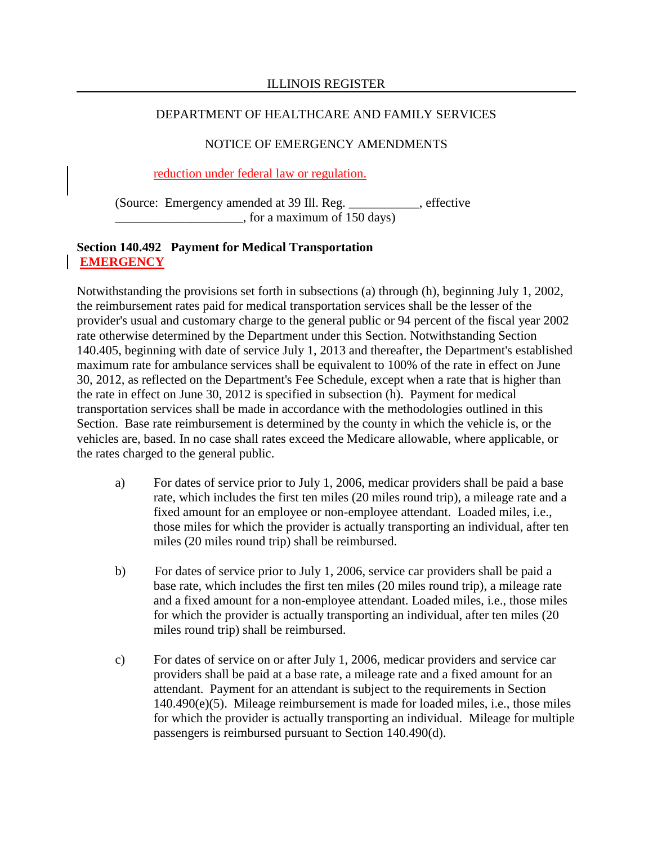## NOTICE OF EMERGENCY AMENDMENTS

## reduction under federal law or regulation.

(Source: Emergency amended at 39 Ill. Reg. \_\_\_\_\_\_\_\_\_\_\_, effective \_\_\_\_\_\_\_\_\_\_\_\_\_\_\_\_\_\_\_\_, for a maximum of 150 days)

## **Section 140.492 Payment for Medical Transportation EMERGENCY**

Notwithstanding the provisions set forth in subsections (a) through (h), beginning July 1, 2002, the reimbursement rates paid for medical transportation services shall be the lesser of the provider's usual and customary charge to the general public or 94 percent of the fiscal year 2002 rate otherwise determined by the Department under this Section. Notwithstanding Section 140.405, beginning with date of service July 1, 2013 and thereafter, the Department's established maximum rate for ambulance services shall be equivalent to 100% of the rate in effect on June 30, 2012, as reflected on the Department's Fee Schedule, except when a rate that is higher than the rate in effect on June 30, 2012 is specified in subsection (h). Payment for medical transportation services shall be made in accordance with the methodologies outlined in this Section. Base rate reimbursement is determined by the county in which the vehicle is, or the vehicles are, based. In no case shall rates exceed the Medicare allowable, where applicable, or the rates charged to the general public.

- a) For dates of service prior to July 1, 2006, medicar providers shall be paid a base rate, which includes the first ten miles (20 miles round trip), a mileage rate and a fixed amount for an employee or non-employee attendant. Loaded miles, i.e., those miles for which the provider is actually transporting an individual, after ten miles (20 miles round trip) shall be reimbursed.
- b) For dates of service prior to July 1, 2006, service car providers shall be paid a base rate, which includes the first ten miles (20 miles round trip), a mileage rate and a fixed amount for a non-employee attendant. Loaded miles, i.e., those miles for which the provider is actually transporting an individual, after ten miles (20 miles round trip) shall be reimbursed.
- c) For dates of service on or after July 1, 2006, medicar providers and service car providers shall be paid at a base rate, a mileage rate and a fixed amount for an attendant. Payment for an attendant is subject to the requirements in Section 140.490(e)(5). Mileage reimbursement is made for loaded miles, i.e., those miles for which the provider is actually transporting an individual. Mileage for multiple passengers is reimbursed pursuant to Section 140.490(d).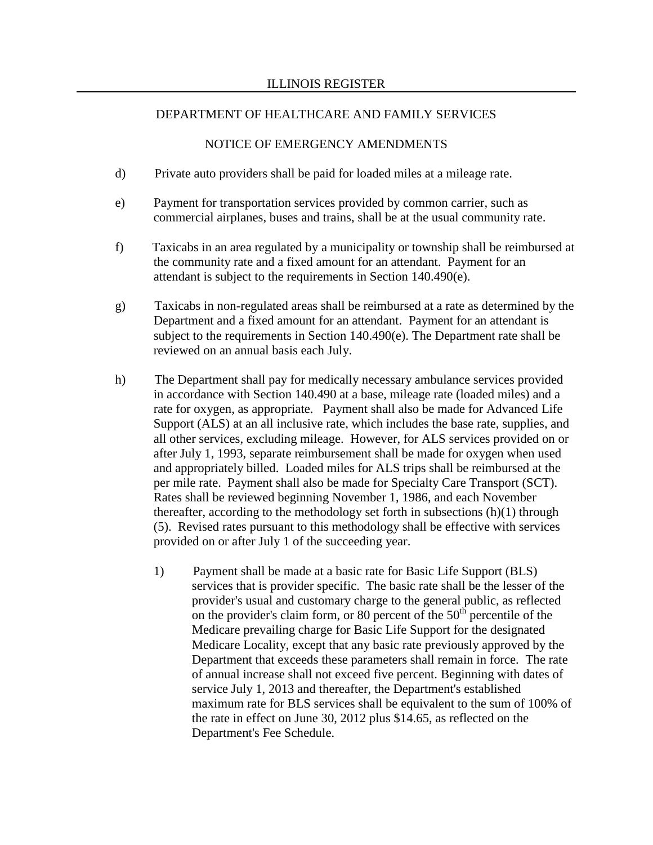- d) Private auto providers shall be paid for loaded miles at a mileage rate.
- e) Payment for transportation services provided by common carrier, such as commercial airplanes, buses and trains, shall be at the usual community rate.
- f) Taxicabs in an area regulated by a municipality or township shall be reimbursed at the community rate and a fixed amount for an attendant. Payment for an attendant is subject to the requirements in Section 140.490(e).
- g) Taxicabs in non-regulated areas shall be reimbursed at a rate as determined by the Department and a fixed amount for an attendant. Payment for an attendant is subject to the requirements in Section 140.490(e). The Department rate shall be reviewed on an annual basis each July.
- h) The Department shall pay for medically necessary ambulance services provided in accordance with Section 140.490 at a base, mileage rate (loaded miles) and a rate for oxygen, as appropriate. Payment shall also be made for Advanced Life Support (ALS) at an all inclusive rate, which includes the base rate, supplies, and all other services, excluding mileage. However, for ALS services provided on or after July 1, 1993, separate reimbursement shall be made for oxygen when used and appropriately billed. Loaded miles for ALS trips shall be reimbursed at the per mile rate. Payment shall also be made for Specialty Care Transport (SCT). Rates shall be reviewed beginning November 1, 1986, and each November thereafter, according to the methodology set forth in subsections (h)(1) through (5). Revised rates pursuant to this methodology shall be effective with services provided on or after July 1 of the succeeding year.
	- 1) Payment shall be made at a basic rate for Basic Life Support (BLS) services that is provider specific. The basic rate shall be the lesser of the provider's usual and customary charge to the general public, as reflected on the provider's claim form, or 80 percent of the  $50<sup>th</sup>$  percentile of the Medicare prevailing charge for Basic Life Support for the designated Medicare Locality, except that any basic rate previously approved by the Department that exceeds these parameters shall remain in force. The rate of annual increase shall not exceed five percent. Beginning with dates of service July 1, 2013 and thereafter, the Department's established maximum rate for BLS services shall be equivalent to the sum of 100% of the rate in effect on June 30, 2012 plus \$14.65, as reflected on the Department's Fee Schedule.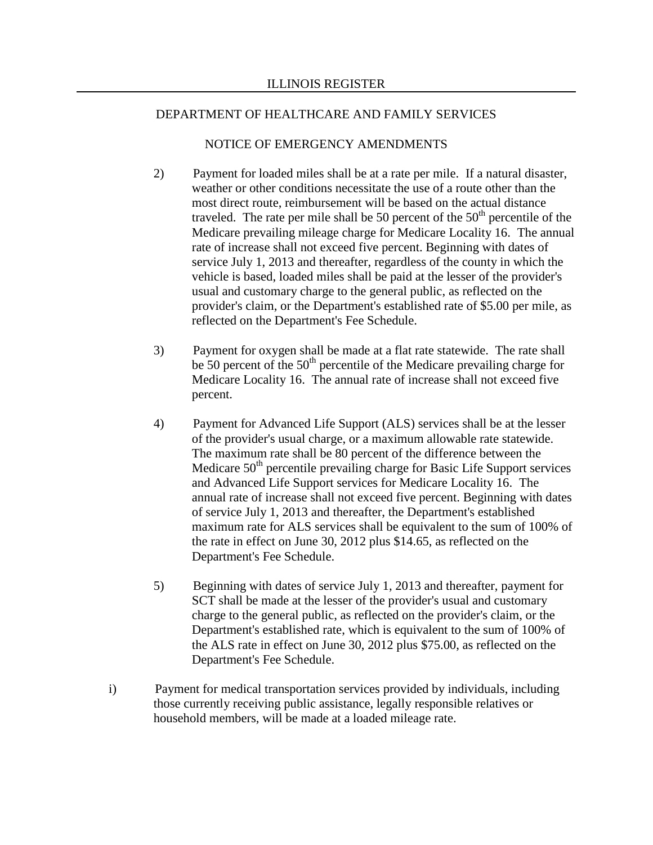- 2) Payment for loaded miles shall be at a rate per mile. If a natural disaster, weather or other conditions necessitate the use of a route other than the most direct route, reimbursement will be based on the actual distance traveled. The rate per mile shall be 50 percent of the  $50<sup>th</sup>$  percentile of the Medicare prevailing mileage charge for Medicare Locality 16. The annual rate of increase shall not exceed five percent. Beginning with dates of service July 1, 2013 and thereafter, regardless of the county in which the vehicle is based, loaded miles shall be paid at the lesser of the provider's usual and customary charge to the general public, as reflected on the provider's claim, or the Department's established rate of \$5.00 per mile, as reflected on the Department's Fee Schedule.
- 3) Payment for oxygen shall be made at a flat rate statewide. The rate shall be 50 percent of the  $50<sup>th</sup>$  percentile of the Medicare prevailing charge for Medicare Locality 16. The annual rate of increase shall not exceed five percent.
- 4) Payment for Advanced Life Support (ALS) services shall be at the lesser of the provider's usual charge, or a maximum allowable rate statewide. The maximum rate shall be 80 percent of the difference between the Medicare 50<sup>th</sup> percentile prevailing charge for Basic Life Support services and Advanced Life Support services for Medicare Locality 16. The annual rate of increase shall not exceed five percent. Beginning with dates of service July 1, 2013 and thereafter, the Department's established maximum rate for ALS services shall be equivalent to the sum of 100% of the rate in effect on June 30, 2012 plus \$14.65, as reflected on the Department's Fee Schedule.
- 5) Beginning with dates of service July 1, 2013 and thereafter, payment for SCT shall be made at the lesser of the provider's usual and customary charge to the general public, as reflected on the provider's claim, or the Department's established rate, which is equivalent to the sum of 100% of the ALS rate in effect on June 30, 2012 plus \$75.00, as reflected on the Department's Fee Schedule.
- i) Payment for medical transportation services provided by individuals, including those currently receiving public assistance, legally responsible relatives or household members, will be made at a loaded mileage rate.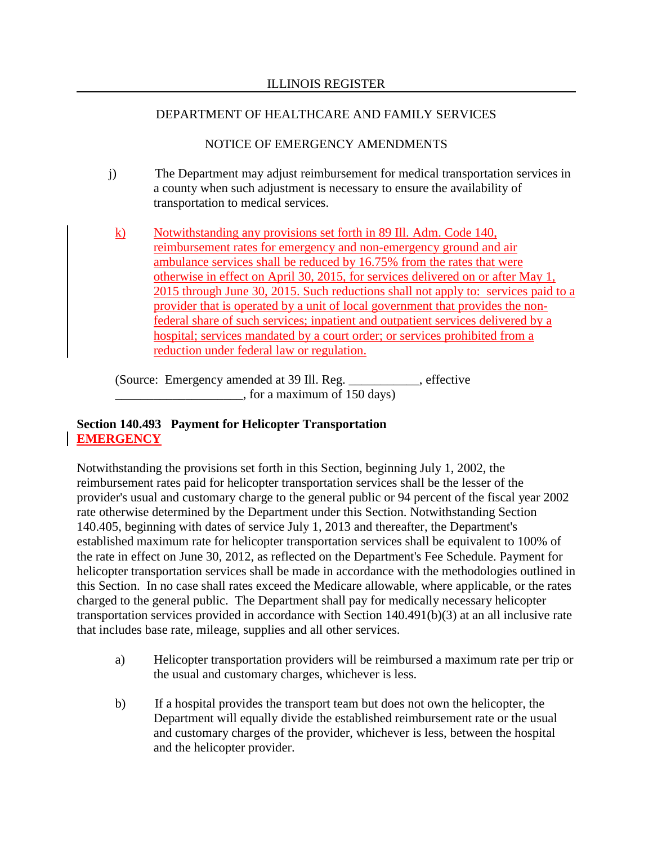## NOTICE OF EMERGENCY AMENDMENTS

- j) The Department may adjust reimbursement for medical transportation services in a county when such adjustment is necessary to ensure the availability of transportation to medical services.
	- k) Notwithstanding any provisions set forth in 89 Ill. Adm. Code 140, reimbursement rates for emergency and non-emergency ground and air ambulance services shall be reduced by 16.75% from the rates that were otherwise in effect on April 30, 2015, for services delivered on or after May 1, 2015 through June 30, 2015. Such reductions shall not apply to: services paid to a provider that is operated by a unit of local government that provides the nonfederal share of such services; inpatient and outpatient services delivered by a hospital; services mandated by a court order; or services prohibited from a reduction under federal law or regulation.

(Source: Emergency amended at 39 Ill. Reg. \_\_\_\_\_\_\_\_\_\_\_, effective \_\_\_\_\_\_\_\_\_\_\_\_\_\_\_\_\_\_\_\_, for a maximum of 150 days)

# **Section 140.493 Payment for Helicopter Transportation EMERGENCY**

Notwithstanding the provisions set forth in this Section, beginning July 1, 2002, the reimbursement rates paid for helicopter transportation services shall be the lesser of the provider's usual and customary charge to the general public or 94 percent of the fiscal year 2002 rate otherwise determined by the Department under this Section. Notwithstanding Section 140.405, beginning with dates of service July 1, 2013 and thereafter, the Department's established maximum rate for helicopter transportation services shall be equivalent to 100% of the rate in effect on June 30, 2012, as reflected on the Department's Fee Schedule. Payment for helicopter transportation services shall be made in accordance with the methodologies outlined in this Section. In no case shall rates exceed the Medicare allowable, where applicable, or the rates charged to the general public. The Department shall pay for medically necessary helicopter transportation services provided in accordance with Section 140.491(b)(3) at an all inclusive rate that includes base rate, mileage, supplies and all other services.

- a) Helicopter transportation providers will be reimbursed a maximum rate per trip or the usual and customary charges, whichever is less.
- b) If a hospital provides the transport team but does not own the helicopter, the Department will equally divide the established reimbursement rate or the usual and customary charges of the provider, whichever is less, between the hospital and the helicopter provider.